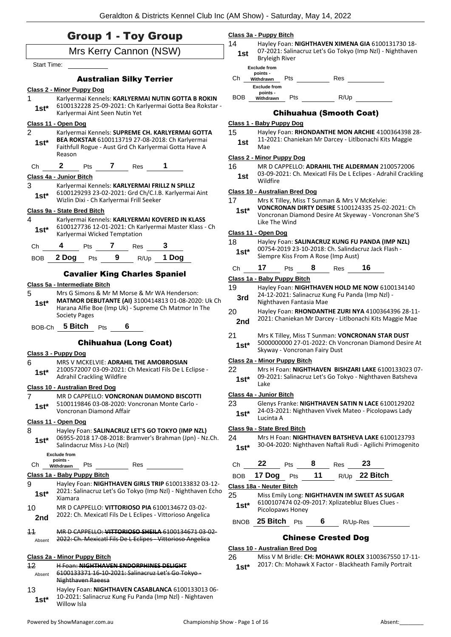|                 | <b>Group 1 - Toy Group</b><br>Mrs Kerry Cannon (NSW)                                                                                                          | 14                                                                                 | Hayley Foan: NIGHTHAVEN XIMENA GIA 6100131730 18-<br>07-2021: Salinacruz Let's Go Tokyo (Imp Nzl) - Nighthaven         |  |  |
|-----------------|---------------------------------------------------------------------------------------------------------------------------------------------------------------|------------------------------------------------------------------------------------|------------------------------------------------------------------------------------------------------------------------|--|--|
|                 |                                                                                                                                                               | 1st                                                                                | <b>Bryleigh River</b>                                                                                                  |  |  |
| Start Time:     |                                                                                                                                                               |                                                                                    | <b>Exclude from</b>                                                                                                    |  |  |
|                 | <b>Australian Silky Terrier</b>                                                                                                                               | Ch                                                                                 | points -<br>Res<br>Pts<br>Withdrawn                                                                                    |  |  |
|                 | <b>Class 2 - Minor Puppy Dog</b>                                                                                                                              |                                                                                    | <b>Exclude from</b><br>points -                                                                                        |  |  |
| 1               | Karlyermai Kennels: KARLYERMAI NUTIN GOTTA B ROKIN                                                                                                            | BOB                                                                                | R/Up<br>Pts<br>Withdrawn                                                                                               |  |  |
| $1st*$          | 6100132228 25-09-2021: Ch Karlyermai Gotta Bea Rokstar -                                                                                                      |                                                                                    |                                                                                                                        |  |  |
|                 | Karlyermai Aint Seen Nutin Yet                                                                                                                                |                                                                                    | <b>Chihuahua (Smooth Coat)</b>                                                                                         |  |  |
| $\overline{2}$  | Class 11 - Open Dog                                                                                                                                           |                                                                                    | Class 1 - Baby Puppy Dog                                                                                               |  |  |
| $1st^*$         | Karlyermai Kennels: SUPREME CH. KARLYERMAI GOTTA<br>BEA ROKSTAR 6100113719 27-08-2018: Ch Karlyermai<br>Faithfull Rogue - Aust Grd Ch Karlyermai Gotta Have A | 15<br>1st                                                                          | Hayley Foan: RHONDANTHE MON ARCHIE 4100364398 28-<br>11-2021: Chaniekan Mr Darcey - Litlbonachi Kits Maggie<br>Mae     |  |  |
|                 | Reason                                                                                                                                                        |                                                                                    | Class 2 - Minor Puppy Dog                                                                                              |  |  |
| Ch              | 2 Pts 7 Res 1                                                                                                                                                 | 16                                                                                 | MR D CAPPELLO: ADRAHIL THE ALDERMAN 2100572006                                                                         |  |  |
|                 | Class 4a - Junior Bitch                                                                                                                                       | 1st                                                                                | 03-09-2021: Ch. Mexicatl Fils De L Eclipes - Adrahil Crackling<br>Wildfire                                             |  |  |
| 3               | Karlyermai Kennels: KARLYERMAI FRILLZ N SPILLZ<br>6100129293 23-02-2021: Grd Ch/C.I.B. Karlyermai Aint                                                        |                                                                                    | Class 10 - Australian Bred Dog                                                                                         |  |  |
| $1st*$          | Wizlin Dixi - Ch Karlyermai Frill Seeker                                                                                                                      | 17                                                                                 | Mrs K Tilley, Miss T Sunman & Mrs V McKelvie:                                                                          |  |  |
|                 | Class 9a - State Bred Bitch                                                                                                                                   | $1st^*$                                                                            | VONCRONAN DIRTY DESIRE 5100124335 25-02-2021: Ch                                                                       |  |  |
| 4               | Karlyermai Kennels: KARLYERMAI KOVERED IN KLASS                                                                                                               |                                                                                    | Voncronan Diamond Desire At Skyeway - Voncronan She'S                                                                  |  |  |
| $1st^*$         | 6100127736 12-01-2021: Ch Karlyermai Master Klass - Ch                                                                                                        |                                                                                    | Like The Wind                                                                                                          |  |  |
|                 | Karlyermai Wicked Temptation                                                                                                                                  |                                                                                    | Class 11 - Open Dog                                                                                                    |  |  |
| Ch              | 4<br>Pts 7 Res                                                                                                                                                | 18<br>$1st^*$                                                                      | Hayley Foan: SALINACRUZ KUNG FU PANDA (IMP NZL)<br>00754-2019 23-10-2018: Ch. Salindacruz Jack Flash -                 |  |  |
| <b>BOB</b>      | <b>2 Dog</b> Pts $9 \t R/Up$<br>1 Dog                                                                                                                         |                                                                                    | Siempre Kiss From A Rose (Imp Aust)                                                                                    |  |  |
|                 |                                                                                                                                                               | Ch                                                                                 | Pts 8 Res 16<br>17                                                                                                     |  |  |
|                 | <b>Cavalier King Charles Spaniel</b>                                                                                                                          |                                                                                    | Class 1a - Baby Puppy Bitch                                                                                            |  |  |
|                 | Class 5a - Intermediate Bitch                                                                                                                                 | 19                                                                                 | Hayley Foan: NIGHTHAVEN HOLD ME NOW 6100134140                                                                         |  |  |
| 5               | Mrs G Simons & Mr M Morse & Mr WA Henderson:<br>MATMOR DEBUTANTE (AI) 3100414813 01-08-2020: Uk Ch                                                            | 24-12-2021: Salinacruz Kung Fu Panda (Imp Nzl) -<br>3rd<br>Nighthaven Fantasia Mae |                                                                                                                        |  |  |
| $1st^*$         | Harana Alfie Boe (Imp Uk) - Supreme Ch Matmor In The                                                                                                          |                                                                                    |                                                                                                                        |  |  |
|                 | <b>Society Pages</b>                                                                                                                                          | 20                                                                                 | Hayley Foan: RHONDANTHE ZURI NYA 4100364396 28-11-<br>2021: Chaniekan Mr Darcey - Litlbonachi Kits Maggie Mae          |  |  |
|                 | BOB-Ch 5 Bitch Pts<br>6                                                                                                                                       | 2nd                                                                                |                                                                                                                        |  |  |
|                 |                                                                                                                                                               | 21                                                                                 | Mrs K Tilley, Miss T Sunman: VONCRONAN STAR DUST                                                                       |  |  |
|                 | <b>Chihuahua (Long Coat)</b>                                                                                                                                  | $1st*$                                                                             | 5000000000 27-01-2022: Ch Voncronan Diamond Desire At<br>Skyway - Voncronan Fairy Dust                                 |  |  |
|                 | Class 3 - Puppy Dog                                                                                                                                           |                                                                                    | Class 2a - Minor Puppy Bitch                                                                                           |  |  |
| 6               | MRS V MCKELVIE: ADRAHIL THE AMOBROSIAN<br>2100572007 03-09-2021: Ch Mexicatl Fils De L Eclipse -                                                              | 22                                                                                 | Mrs H Foan: NIGHTHAVEN BISHZARI LAKE 6100133023 07-                                                                    |  |  |
| $1st*$          | <b>Adrahil Crackling Wildfire</b>                                                                                                                             | 09-2021: Salinacruz Let's Go Tokyo - Nighthaven Batsheva<br>$1st*$                 |                                                                                                                        |  |  |
|                 | Class 10 - Australian Bred Dog                                                                                                                                |                                                                                    | Lake                                                                                                                   |  |  |
| 7               | MR D CAPPELLO: VONCRONAN DIAMOND BISCOTTI                                                                                                                     |                                                                                    | Class 4a - Junior Bitch                                                                                                |  |  |
| $1st*$          | 5100119846 03-08-2020: Voncronan Monte Carlo -<br>Voncronan Diamond Affair                                                                                    | 23<br>$1st*$                                                                       | Glenys Franke: NIGHTHAVEN SATIN N LACE 6100129202<br>24-03-2021: Nighthaven Vivek Mateo - Picolopaws Lady<br>Lucinta A |  |  |
|                 | Class 11 - Open Dog                                                                                                                                           |                                                                                    | Class 9a - State Bred Bitch                                                                                            |  |  |
| 8<br>$1st*$     | Hayley Foan: SALINACRUZ LET'S GO TOKYO (IMP NZL)<br>06955-2018 17-08-2018: Bramver's Brahman (Jpn) - Nz.Ch.                                                   | 24                                                                                 | Mrs H Foan: NIGHTHAVEN BATSHEVA LAKE 6100123793                                                                        |  |  |
|                 | Salindacruz Miss J-Lo (Nzl)                                                                                                                                   | $1st*$                                                                             | 30-04-2020: Nighthaven Naftali Rudi - Agilichi Primogenito                                                             |  |  |
|                 | <b>Exclude from</b><br>points -                                                                                                                               |                                                                                    |                                                                                                                        |  |  |
| Ch              | Res<br>Pts<br>Withdrawn                                                                                                                                       | Сh                                                                                 | 22<br>23<br>8<br>Pts<br><b>Res</b>                                                                                     |  |  |
|                 | Class 1a - Baby Puppy Bitch                                                                                                                                   | <b>BOB</b>                                                                         | 11<br>R/Up 22 Bitch<br>17 Dog<br>Pts                                                                                   |  |  |
| 9<br>$1st^*$    | Hayley Foan: NIGHTHAVEN GIRLS TRIP 6100133832 03-12-<br>2021: Salinacruz Let's Go Tokyo (Imp NzI) - Nighthaven Echo<br>Xiamara                                | 25                                                                                 | Class 18a - Neuter Bitch<br>Miss Emily Long: NIGHTHAVEN IM SWEET AS SUGAR                                              |  |  |
| 10              | MR D CAPPELLO: VITTORIOSO PIA 6100134672 03-02-                                                                                                               | $1st*$                                                                             | 6100107474 02-09-2017: Xplizatebluz Blues Clues -                                                                      |  |  |
| 2nd             | 2022: Ch. Mexicatl Fils De L Eclipes - Vittorioso Angelica                                                                                                    |                                                                                    | Picolopaws Honey                                                                                                       |  |  |
|                 |                                                                                                                                                               |                                                                                    | BNOB 25 Bitch Pts<br>6<br>R/Up-Res                                                                                     |  |  |
| $\overline{11}$ | MR D CAPPELLO: VITTORIOSO SHEILA 6100134671 03 02                                                                                                             |                                                                                    |                                                                                                                        |  |  |
| Absent          | 2022: Ch. Mexicatl Fils De L Eclipes - Vittorioso Angelica                                                                                                    |                                                                                    | <b>Chinese Crested Dog</b>                                                                                             |  |  |
|                 |                                                                                                                                                               |                                                                                    | Class 10 - Australian Bred Dog                                                                                         |  |  |
| 12              | Class 2a - Minor Puppy Bitch<br><b>H Foan: NIGHTHAVEN ENDORPHINES DELIGHT</b>                                                                                 | 26                                                                                 | Miss V M Bridle: CH: MOHAWK ROLEX 3100367550 17-11-<br>2017: Ch: Mohawk X Factor - Blackheath Family Portrait          |  |  |
| Absent          | 6100133371 16-10-2021: Salinacruz Let's Go Tokyo-                                                                                                             | $1st*$                                                                             |                                                                                                                        |  |  |
|                 | Nighthaven Raeesa                                                                                                                                             |                                                                                    |                                                                                                                        |  |  |
| 13              | Hayley Foan: NIGHTHAVEN CASABLANCA 6100133013 06-                                                                                                             |                                                                                    |                                                                                                                        |  |  |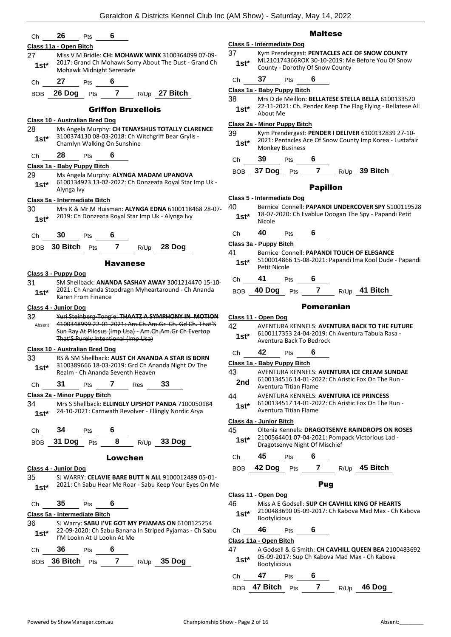| Ch            | 26<br>6<br>Pts                                                                                                                            |               |                                     |
|---------------|-------------------------------------------------------------------------------------------------------------------------------------------|---------------|-------------------------------------|
|               | Class 11a - Open Bitch                                                                                                                    |               | Class 5 - Intermed                  |
| 27<br>$1st*$  | Miss V M Bridle: CH: MOHAWK WINX 3100364099 07-09-<br>2017: Grand Ch Mohawk Sorry About The Dust - Grand Ch<br>Mohawk Midnight Serenade   | 37<br>1st*    | Kym Pre<br>ML2101<br>County         |
| Ch            | 27<br>6<br>Pts                                                                                                                            | Сh            | 37                                  |
|               | $\overline{\mathbf{r}}$<br>26 Dog<br>R/Up 27 Bitch                                                                                        |               | Class 1a - Baby P                   |
| BOB           | Pts<br><b>Griffon Bruxellois</b>                                                                                                          | 38<br>$1st^*$ | Mrs D c<br>$22 - 11 - 2$            |
|               | <b>Class 10 - Australian Bred Dog</b>                                                                                                     |               | About N                             |
| 28            | Ms Angela Murphy: CH TENAYSHUS TOTALLY CLARENCE                                                                                           |               | Class 2a - Minor F                  |
| $1st*$        | 3100374130 08-03-2018: Ch Witchgriff Bear Grylls -<br>Chamlyn Walking On Sunshine                                                         | 39<br>$1st*$  | Kym Pre<br>2021: P<br>Monkey        |
| Ch            | 28<br>6<br>Pts                                                                                                                            | Сh            | 39                                  |
|               | Class 1a - Baby Puppy Bitch                                                                                                               | <b>BOB</b>    | 37 Dog                              |
| 29<br>$1st*$  | Ms Angela Murphy: ALYNGA MADAM UPANOVA<br>6100134923 13-02-2022: Ch Donzeata Royal Star Imp Uk -<br>Alynga Ivy                            |               |                                     |
|               | Class 5a - Intermediate Bitch                                                                                                             |               | Class 5 - Intermed                  |
| 30<br>$1st*$  | Mrs K & Mr M Huisman: ALYNGA EDNA 6100118468 28-07-<br>2019: Ch Donzeata Royal Star Imp Uk - Alynga Ivy                                   | 40<br>$1st^*$ | <b>Bernice</b><br>18-07-2<br>Nicole |
| Ch            | 30<br>6<br>Pts                                                                                                                            | Ch            | 40                                  |
| BOB           | 30 Bitch<br>$\mathbf{7}$<br>28 Dog<br>Pts<br>R/Up                                                                                         |               | Class 3a - Puppy                    |
|               |                                                                                                                                           | 41            | <b>Bernice</b>                      |
|               | <b>Havanese</b><br>Class 3 - Puppy Dog                                                                                                    | $1st^*$       | 510001<br>Petit Ni                  |
| 31            | SM Shellback: ANANDA SASHAY AWAY 3001214470 15-10-                                                                                        | Сh            | 41                                  |
| $1st^*$       | 2021: Ch Ananda Stopdragn Myheartaround - Ch Ananda<br>Karen From Finance                                                                 | <b>BOB</b>    | 40 Dog                              |
|               | Class 4 - Junior Dog                                                                                                                      |               |                                     |
| 32            | Yuri Steinberg-Tong'e: THAATZ A SYMPHONY IN MOTION<br>4100348999 22-01-2021: Am.Ch.Am.Gr Ch. Gd Ch. That'S                                |               | Class 11 - Open D                   |
| Absent        | Sun Ray At Pilosus (Imp Usa) - Am.Ch.Am.Gr Ch Evertop                                                                                     | 42            | AVENTI<br>610011                    |
|               | That'S Purely Intentional (Imp Usa)                                                                                                       | $1st^*$       | Aventui                             |
|               | Class 10 - Australian Bred Dog                                                                                                            | Ch            | 42                                  |
| 33<br>$1st^*$ | RS & SM Shellback: AUST CH ANANDA A STAR IS BORN<br>3100389666 18-03-2019: Grd Ch Ananda Night Ov The<br>Realm - Ch Ananda Seventh Heaven | 43            | Class 1a - Baby P<br>AVENTL         |
|               |                                                                                                                                           | 2nd           | 610013                              |
| Ch            | 31<br>7<br>33<br>Pts<br>Res                                                                                                               |               | Aventui                             |
|               | Class 2a - Minor Puppy Bitch<br>Mrs S Shellback: ELLINGLY UPSHOT PANDA 7100050184                                                         | 44            | AVENT<br>610013                     |
| 34<br>$1st^*$ | 24-10-2021: Carnwath Revolver - Ellingly Nordic Arya                                                                                      | $1st^*$       | Aventui                             |
|               | 34<br>6                                                                                                                                   | 45            | Class 4a - Junior<br>Oltenia        |
| Ch            | Pts<br>8<br>BOB 31 Dog<br>R/Up 33 Dog<br>Pts                                                                                              | $1st^*$       | 210056<br>Dragots                   |
|               | Lowchen                                                                                                                                   | Ch            | 45                                  |
|               | Class 4 - Junior Dog                                                                                                                      | BOB           | 42 Dog                              |
| 35<br>$1st^*$ | SJ WARRY: CELAVIE BARE BUTT N ALL 9100012489 05-01-<br>2021: Ch Sabu Hear Me Roar - Sabu Keep Your Eyes On Me                             |               |                                     |
|               |                                                                                                                                           |               | Class 11 - Open D                   |
| Ch            | 35<br>6<br>Pts<br>Class 5a - Intermediate Bitch                                                                                           | 46<br>$1st*$  | Miss A I<br>210048                  |
| 36            | SJ Warry: SABU I'VE GOT MY PYJAMAS ON 6100125254                                                                                          |               | Bootylio                            |
| $1st^*$       | 22-09-2020: Ch Sabu Banana In Striped Pyjamas - Ch Sabu<br>I'M Lookn At U Lookn At Me                                                     | Ch            | 46<br>Class 11a - Open              |
| Ch            | 36<br>6<br>Pts                                                                                                                            | 47            | A Gods                              |
| BOB           | 36 Bitch<br>7<br>35 Dog<br>R/Up<br>Pts                                                                                                    | $1st*$        | 05-09-2<br>Bootylio                 |
|               |                                                                                                                                           |               |                                     |

#### Maltese

- **Class 5 - Intermediate Dog** endergast: PENTACLES ACE OF SNOW COUNTY  $17436$ 6ROK 30-10-2019: Me Before You Of Snow - Dorothy Of Snow County
- Ch **37** Pts **6**

## **Class 1a - Baby Puppy Bitch**

le Meillon: **BELLATESE STELLA BELLA** 6100133520 2021: Ch. Pender Keep The Flag Flying - Bellatese All About Me **1st\***

#### **Puppy Bitch**

- 39 Kym Prendergast: **PENDER I DELIVER** 6100132839 27-10- Pentacles Ace Of Snow County Imp Korea - Lustafair Monkey Business **1st\***
- Ch **39** Pts **6**
- BOB **37 Dog** Pts **7** R/Up **39 Bitch**

#### Papillon

## **Class 5 - Intermediate Dog**

- 40 Bernice Connell: **PAPANDI UNDERCOVER SPY** 5100119528 2020: Ch Evablue Doogan The Spy - Papandi Petit
- Ch **40** Pts **6**

**Class 3a - Puppy Bitch**

- Connell: **PAPANDI TOUCH OF ELEGANCE** 5100014866 15-08-2021: Papandi Ima Kool Dude - Papandi icole
- Ch **41** Pts **6**
- BOB **40 Dog** Pts **7** R/Up **41 Bitch**

### Pomeranian

#### **Class 11 - Open Dog**

- URA KENNELS: **AVENTURA BACK TO THE FUTURE** 17353 24-04-2019: Ch Aventura Tabula Rasa -
- ra Back To Bedrock

## Ch **42** Pts **6**

## **Class 1a - Baby Puppy Bitch**

- 43 AVENTURA KENNELS: **AVENTURA ICE CREAM SUNDAE** 84516 14-01-2022: Ch Aristic Fox On The Run ra Titian Flame
- 44 AVENTURA KENNELS: **AVENTURA ICE PRINCESS**
- 84517 14-01-2022: Ch Aristic Fox On The Run **ra Titian Flame**

#### **Class 4a - Junior Bitch**

Kennels: DRAGOTSENYE RAINDROPS ON ROSES 2100564401 07-04-2021: Pompack Victorious Lad senye Night Of Mischief

Ch **45** Pts **6**

## BOB **42 Dog** Pts **7** R/Up **45 Bitch**

#### Pug

### **Class 11 - Open Dog**

- 46 Miss A E Godsell: **SUP CH CAVHILL KING OF HEARTS** 33690 05-09-2017: Ch Kabova Mad Max - Ch Kabova Bootylicious **1st\***
- Ch **46** Pts **6**

**Bitch** 

ell & G Smith: CH CAVHILL QUEEN BEA 2100483692 2017: Sup Ch Kabova Mad Max - Ch Kabova Bootylicious **1st\***

$$
Ch \t 47 \t Pts \t 6
$$

BOB **47 Bitch** Pts **7** R/Up **46 Dog**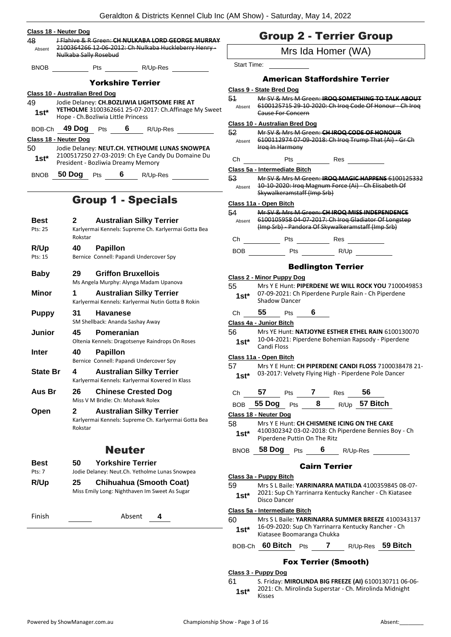| Class 18 - Neuter Dog<br>48 | J-Flahive & R Green: CH NULKABA LORD GEORGE MURRAY                                           |                    | <b>Group 2 - Terrier Group</b>                                                                                                                  |  |  |
|-----------------------------|----------------------------------------------------------------------------------------------|--------------------|-------------------------------------------------------------------------------------------------------------------------------------------------|--|--|
| Absent                      | 2100364266 12-06-2012: Ch Nulkaba Huckleberry Henry-<br>Nulkaba Sally Rosebud                | Mrs Ida Homer (WA) |                                                                                                                                                 |  |  |
| <b>BNOB</b>                 | Pts R/Up-Res                                                                                 | <b>Start Time:</b> |                                                                                                                                                 |  |  |
|                             | <b>Yorkshire Terrier</b>                                                                     |                    | <b>American Staffordshire Terrier</b>                                                                                                           |  |  |
|                             |                                                                                              |                    | Class 9 - State Bred Dog                                                                                                                        |  |  |
| 49                          | Class 10 - Australian Bred Dog<br>Jodie Delaney: CH.BOZLIWIA LIGHTSOME FIRE AT               | 51                 | Mr SV & Mrs M Green: IROQ SOMETHING TO TALK ABOUT                                                                                               |  |  |
| $1st*$                      | YETHOLME 3100362661 25-07-2017: Ch.Affinage My Sweet<br>Hope - Ch. Bozliwia Little Princess  |                    | Absent 6100125715 29 10 2020: Ch Iroq Code Of Honour Ch Iroq<br>Cause For Concern                                                               |  |  |
|                             | BOB-Ch 49 Dog Pts 6 R/Up-Res                                                                 | 52                 | <b>Class 10 - Australian Bred Dog</b><br>Mr SV & Mrs M Green: CH IROQ CODE OF HONOUR                                                            |  |  |
|                             | Class 18 - Neuter Dog                                                                        |                    | Absent 6100112974 07-09-2018: Ch Iroq Trump That (Ai) - Gr Ch                                                                                   |  |  |
| 50                          | Jodie Delaney: NEUT.CH. YETHOLME LUNAS SNOWPEA                                               |                    | Iroq In Harmony                                                                                                                                 |  |  |
| $1st*$                      | 2100517250 27-03-2019: Ch Eye Candy Du Domaine Du                                            |                    | Ch Pts Pts Res                                                                                                                                  |  |  |
|                             | President - Bozliwia Dreamy Memory                                                           |                    | Class 5a - Intermediate Bitch                                                                                                                   |  |  |
|                             | BNOB 50 Dog Pts 6 R/Up-Res                                                                   | 53                 | Mr SV & Mrs M Green: IROQ MAGIC HAPPENS 6100125332<br>Absent 10-10-2020: Iroq Magnum Force (Ai) - Ch Elisabeth Of<br>Skywalkeramstaff (Imp Srb) |  |  |
|                             | <b>Group 1 - Specials</b>                                                                    |                    | Class 11a - Open Bitch                                                                                                                          |  |  |
|                             |                                                                                              | 54                 | Mr SV & Mrs M Green: CH IROQ MISS INDEPENDENCE                                                                                                  |  |  |
| <b>Best</b><br>Pts: 25      | <b>Australian Silky Terrier</b><br>2<br>Karlyermai Kennels: Supreme Ch. Karlyermai Gotta Bea |                    | Absent 6100105958 04 07 2017: Ch Iroq Gladiator Of Longstep<br>(Imp Srb) - Pandora Of Skywalkeramstaff (Imp Srb)                                |  |  |
|                             | Rokstar                                                                                      |                    |                                                                                                                                                 |  |  |
| R/Up                        | 40<br><b>Papillon</b>                                                                        |                    |                                                                                                                                                 |  |  |
| Pts: 15                     | Bernice Connell: Papandi Undercover Spy                                                      |                    |                                                                                                                                                 |  |  |
| <b>Baby</b>                 | 29<br><b>Griffon Bruxellois</b>                                                              |                    | <b>Bedlington Terrier</b>                                                                                                                       |  |  |
|                             | Ms Angela Murphy: Alynga Madam Upanova                                                       |                    | <b>Class 2 - Minor Puppy Dog</b>                                                                                                                |  |  |
| <b>Minor</b>                | <b>Australian Silky Terrier</b><br>1<br>Karlyermai Kennels: Karlyermai Nutin Gotta B Rokin   | 55<br>$1st*$       | Mrs Y E Hunt: PIPERDENE WE WILL ROCK YOU 7100049853<br>07-09-2021: Ch Piperdene Purple Rain - Ch Piperdene<br><b>Shadow Dancer</b>              |  |  |
| <b>Puppy</b>                | 31<br><b>Havanese</b>                                                                        | Ch                 | 55 Pts 6                                                                                                                                        |  |  |
|                             | SM Shellback: Ananda Sashay Away                                                             |                    | Class 4a - Junior Bitch                                                                                                                         |  |  |
| Junior                      | 45<br>Pomeranian                                                                             | 56                 | Mrs YE Hunt: NATJOYNE ESTHER ETHEL RAIN 6100130070                                                                                              |  |  |
|                             | Oltenia Kennels: Dragotsenye Raindrops On Roses                                              | $1st*$             | 10-04-2021: Piperdene Bohemian Rapsody - Piperdene<br>Candi Floss                                                                               |  |  |
| Inter                       | <b>Papillon</b><br>40.                                                                       |                    |                                                                                                                                                 |  |  |
|                             | Bernice Connell: Papandi Undercover Spy                                                      | 57                 | Class 11a - Open Bitch<br>Mrs Y E Hunt: CH PIPERDENE CANDI FLOSS 7100038478 21-                                                                 |  |  |
| <b>State Br</b>             | 4<br><b>Australian Silky Terrier</b><br>Karlyermai Kennels: Karlyermai Kovered In Klass      | $1st*$             | 03-2017: Velvety Flying High - Piperdene Pole Dancer                                                                                            |  |  |
| Aus Br                      | 26<br><b>Chinese Crested Dog</b>                                                             | Ch                 | 56<br>57<br>7<br>Pts<br><b>Res</b>                                                                                                              |  |  |
|                             | Miss V M Bridle: Ch: Mohawk Rolex                                                            | <b>BOB</b>         | 8<br>R/Up 57 Bitch<br>55 Dog Pts                                                                                                                |  |  |
| Open                        | <b>Australian Silky Terrier</b><br>$\mathbf{2}$                                              |                    | Class 18 - Neuter Dog                                                                                                                           |  |  |
|                             | Karlyermai Kennels: Supreme Ch. Karlyermai Gotta Bea<br>Rokstar                              | 58<br>$1st*$       | Mrs Y E Hunt: CH CHISMENE ICING ON THE CAKE<br>4100302342 03-02-2018: Ch Piperdene Bennies Boy - Ch<br>Piperdene Puttin On The Ritz             |  |  |
|                             | <b>Neuter</b>                                                                                | BNOB               | 58 Dog $Pts$ 6<br>R/Up-Res                                                                                                                      |  |  |
| <b>Best</b>                 | <b>Yorkshire Terrier</b><br>50                                                               |                    | <b>Cairn Terrier</b>                                                                                                                            |  |  |
| Pts: 7                      | Jodie Delaney: Neut.Ch. Yetholme Lunas Snowpea                                               |                    | Class 3a - Puppy Bitch                                                                                                                          |  |  |
| R/Up                        | 25<br><b>Chihuahua (Smooth Coat)</b><br>Miss Emily Long: Nighthaven Im Sweet As Sugar        | 59<br>$1st*$       | Mrs S L Baile: YARRINARRA MATILDA 4100359845 08-07-<br>2021: Sup Ch Yarrinarra Kentucky Rancher - Ch Kiatasee<br>Disco Dancer                   |  |  |
| Finish                      | Absent<br>4                                                                                  |                    | Class 5a - Intermediate Bitch                                                                                                                   |  |  |
|                             |                                                                                              | 60<br>$1st*$       | Mrs S L Baile: YARRINARRA SUMMER BREEZE 4100343137<br>16-09-2020: Sup Ch Yarrinarra Kentucky Rancher - Ch<br>Kiatasee Boomaranga Chukka         |  |  |
|                             |                                                                                              | BOB-Ch             | 60 Bitch Pts<br>7<br>R/Up-Res 59 Bitch                                                                                                          |  |  |

Fox Terrier (Smooth)

#### **Class 3 - Puppy Dog**

61 S. Friday: **MIROLINDA BIG FREEZE (AI)** 6100130711 06-06- 2021: Ch. Mirolinda Superstar - Ch. Mirolinda Midnight 1st<sup>\*</sup> <sup>2021:</sup><br>Kisses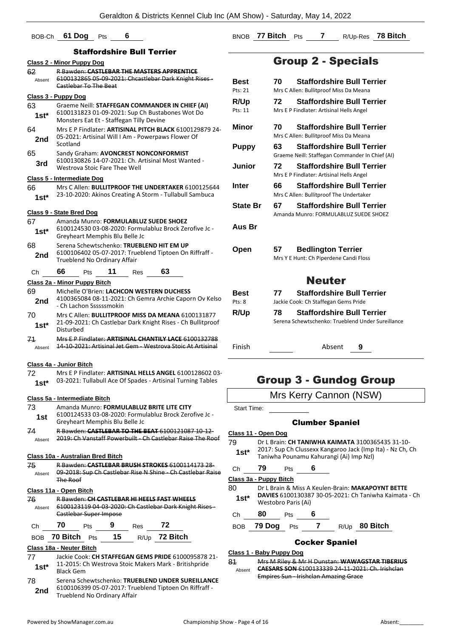## BOB-Ch **61 Dog** Pts **6**

## Staffordshire Bull Terrier

|                                   |           | əlanulusil                                                                                                                                     |    | II e Duit |                                                                                                                       |  |  |  |
|-----------------------------------|-----------|------------------------------------------------------------------------------------------------------------------------------------------------|----|-----------|-----------------------------------------------------------------------------------------------------------------------|--|--|--|
| <b>Class 2 - Minor Puppy Dog</b>  |           |                                                                                                                                                |    |           |                                                                                                                       |  |  |  |
| 62<br>Absent                      |           | Castlebar To The Beat                                                                                                                          |    |           | <b>R Bawden: CASTLEBAR THE MASTERS APPRENTICE</b><br>6100132865 05 09 2021: Chcastlebar Dark Knight Rises-            |  |  |  |
|                                   |           |                                                                                                                                                |    |           |                                                                                                                       |  |  |  |
| <u> Class 3 - Puppy Dog</u>       |           |                                                                                                                                                |    |           |                                                                                                                       |  |  |  |
| 63<br>1st*                        |           | Graeme Neill: STAFFEGAN COMMANDER IN CHIEF (AI)<br>6100131823 01-09-2021: Sup Ch Bustabones Wot Do<br>Monsters Eat Et - Staffegan Tilly Devine |    |           |                                                                                                                       |  |  |  |
| 64<br>2nd                         | Scotland  |                                                                                                                                                |    |           | Mrs E P Findlater: ARTISINAL PITCH BLACK 6100129879 24-<br>05-2021: Artisinal Will I Am - Powerpaws Flower Of         |  |  |  |
|                                   |           |                                                                                                                                                |    |           |                                                                                                                       |  |  |  |
| 65<br>3rd                         |           | Westrova Stoic Fare Thee Well                                                                                                                  |    |           | Sandy Graham: AVONCREST NONCONFORMIST<br>6100130826 14-07-2021: Ch. Artisinal Most Wanted -                           |  |  |  |
| Class 5 - Intermediate Dog        |           |                                                                                                                                                |    |           |                                                                                                                       |  |  |  |
| 66                                |           |                                                                                                                                                |    |           | Mrs C Allen: <b>BULLITPROOF THE UNDERTAKER</b> 6100125644                                                             |  |  |  |
| $1st*$                            |           |                                                                                                                                                |    |           | 23-10-2020: Akinos Creating A Storm - Tullabull Sambuca                                                               |  |  |  |
| <u>Class 9 - State Bred Doq</u>   |           |                                                                                                                                                |    |           |                                                                                                                       |  |  |  |
| 67                                |           |                                                                                                                                                |    |           | Amanda Munro: FORMULABLUZ SUEDE SHOEZ                                                                                 |  |  |  |
| 1st*                              |           | Greyheart Memphis Blu Belle Jc                                                                                                                 |    |           | 6100124530 03-08-2020: Formulabluz Brock Zerofive Jc -                                                                |  |  |  |
| 68                                |           |                                                                                                                                                |    |           | Serena Schewtschenko: TRUEBLEND HIT EM UP                                                                             |  |  |  |
| 2nd                               |           | Trueblend No Ordinary Affair                                                                                                                   |    |           | 6100106402 05-07-2017: Trueblend Tiptoen On Riffraff -                                                                |  |  |  |
| Сh                                | 66        | Pts                                                                                                                                            | 11 | Res       | 63                                                                                                                    |  |  |  |
| Class 2a - Minor Puppy Bitch      |           |                                                                                                                                                |    |           |                                                                                                                       |  |  |  |
| 69<br>2nd                         |           | - Ch Lachon Ssssssmokin                                                                                                                        |    |           | Michelle O'Brien: LACHCON WESTERN DUCHESS<br>4100365084 08-11-2021: Ch Gemra Archie Caporn Ov Kelso                   |  |  |  |
| 70                                |           |                                                                                                                                                |    |           | Mrs C Allen: <b>BULLITPROOF MISS DA MEANA</b> 6100131877                                                              |  |  |  |
| 1st*                              | Disturbed |                                                                                                                                                |    |           | 21-09-2021: Ch Castlebar Dark Knight Rises - Ch Bullitproof                                                           |  |  |  |
| 71<br>Absent                      |           |                                                                                                                                                |    |           | Mrs E.P. Findlater: ARTISINAL CHANTILY LACE 6100132788<br>14-10-2021: Artisinal Jet Gem - Westrova Stoic At Artisinal |  |  |  |
| Class 4a - Junior Bitch           |           |                                                                                                                                                |    |           |                                                                                                                       |  |  |  |
| 72                                |           |                                                                                                                                                |    |           | Mrs E P Findlater: ARTISINAL HELLS ANGEL 6100128602 03-                                                               |  |  |  |
| $1st*$                            |           |                                                                                                                                                |    |           | 03-2021: Tullabull Ace Of Spades - Artisinal Turning Tables                                                           |  |  |  |
| Class 5a - Intermediate Bitch     |           |                                                                                                                                                |    |           |                                                                                                                       |  |  |  |
| 73                                |           |                                                                                                                                                |    |           | Amanda Munro: FORMULABLUZ BRITE LITE CITY                                                                             |  |  |  |
| 1st                               |           | Greyheart Memphis Blu Belle Jc                                                                                                                 |    |           | 6100124533 03-08-2020: Formulabluz Brock Zerofive Jc -                                                                |  |  |  |
| 74<br>Absent                      |           |                                                                                                                                                |    |           | R Bawden: CASTLEBAR TO THE BEAT 6100121087 10-12-<br>2019: Ch Vanstaff Powerbuilt - Ch Castlebar Raise The Roof       |  |  |  |
|                                   |           |                                                                                                                                                |    |           |                                                                                                                       |  |  |  |
| Class 10a - Australian Bred Bitch |           |                                                                                                                                                |    |           |                                                                                                                       |  |  |  |
| 75<br>Absent                      |           |                                                                                                                                                |    |           | R Bawden: CASTLEBAR BRUSH STROKES 6100114173 28-<br>09-2018: Sup Ch Castlebar Rise N Shine - Ch Castlebar Raise       |  |  |  |
|                                   | The Roof  |                                                                                                                                                |    |           |                                                                                                                       |  |  |  |
| Class 11a - Open Bitch            |           |                                                                                                                                                |    |           |                                                                                                                       |  |  |  |
| 76<br>Absent                      |           | Castlebar Super Impose                                                                                                                         |    |           | R Bawden: CH CASTLEBAR HI HEELS FAST WHEELS<br>6100123119 04-03-2020: Ch Castlebar Dark Knight Rises -                |  |  |  |
| Ch                                | 70        | Pts                                                                                                                                            |    | Res 72    |                                                                                                                       |  |  |  |
|                                   |           |                                                                                                                                                |    |           | BOB 70 Bitch Pts 15 R/Up 72 Bitch                                                                                     |  |  |  |
| Class 18a - Neuter Bitch          |           |                                                                                                                                                |    |           |                                                                                                                       |  |  |  |
| 77                                |           |                                                                                                                                                |    |           | Jackie Cook: CH STAFFEGAN GEMS PRIDE 6100095878 21-                                                                   |  |  |  |
| 1st*                              | Black Gem |                                                                                                                                                |    |           | 11-2015: Ch Westrova Stoic Makers Mark - Britishpride                                                                 |  |  |  |

78 Serena Schewtschenko: **TRUEBLEND UNDER SUREILLANCE** 6100106399 05-07-2017: Trueblend Tiptoen On Riffraff - **2nd** 6100106399 05-07-2017: True<br>Trueblend No Ordinary Affair

BNOB **77 Bitch** Pts **7** R/Up-Res **78 Bitch**

## Group 2 - Specials

| <b>Best</b><br>Pts: 21 | <b>Staffordshire Bull Terrier</b><br>70.<br>Mrs C Allen: Bullitproof Miss Da Meana           |
|------------------------|----------------------------------------------------------------------------------------------|
| <b>R/Up</b><br>Pts: 11 | <b>Staffordshire Bull Terrier</b><br>72<br>Mrs E P Findlater: Artisinal Hells Angel          |
| Minor                  | <b>Staffordshire Bull Terrier</b><br>70<br>Mrs C Allen: Bullitproof Miss Da Meana            |
| <b>Puppy</b>           | <b>Staffordshire Bull Terrier</b><br>63<br>Graeme Neill: Staffegan Commander In Chief (AI)   |
| Junior                 | 72<br><b>Staffordshire Bull Terrier</b><br>Mrs E P Findlater: Artisinal Hells Angel          |
| Inter                  | <b>Staffordshire Bull Terrier</b><br>66<br>Mrs C Allen: Bullitproof The Undertaker           |
| <b>State Br</b>        | <b>Staffordshire Bull Terrier</b><br>67<br>Amanda Munro: FORMULABLUZ SUEDE SHOEZ             |
| Aus Br                 |                                                                                              |
| Open                   | <b>Bedlington Terrier</b><br>57<br>Mrs Y E Hunt: Ch Piperdene Candi Floss                    |
|                        | <b>Neuter</b>                                                                                |
| Best<br>Pts: 8         | <b>Staffordshire Bull Terrier</b><br>77<br>Jackie Cook: Ch Staffegan Gems Pride              |
| R/Up                   | <b>Staffordshire Bull Terrier</b><br>78<br>Serena Schewtschenko: Trueblend Under Sureillance |
| Finish                 | Absent<br>9                                                                                  |
|                        |                                                                                              |

## Group 3 - Gundog Group

## Mrs Kerry Cannon (NSW)

Start Time:

### Clumber Spaniel

#### **Class 11 - Open Dog**

79 Dr L Brain: **CH TANIWHA KAIMATA** 3100365435 31-10- 2017: Sup Ch Clussexx Kangaroo Jack (Imp Ita) - Nz Ch, Ch **1st**\* 2017: Sup Ch Clussexx Kangaroo Jack (Imp Nzl)<br>Taniwha Pounamu Kahurangi (Ai) Imp Nzl)

Ch **79** Pts **6**

| ◡  | . .                    | . |                                                                                                                                                                                                                                                                                                                                                                            |
|----|------------------------|---|----------------------------------------------------------------------------------------------------------------------------------------------------------------------------------------------------------------------------------------------------------------------------------------------------------------------------------------------------------------------------|
|    | Class 3a - Puppy Bitch |   |                                                                                                                                                                                                                                                                                                                                                                            |
| ററ |                        |   | $D_{\alpha}$ $D_{\alpha}$ $D_{\alpha}$ $D_{\alpha}$ $D_{\alpha}$ $D_{\alpha}$ $D_{\alpha}$ $D_{\alpha}$ $D_{\alpha}$ $D_{\alpha}$ $D_{\alpha}$ $D_{\alpha}$ $D_{\alpha}$ $D_{\alpha}$ $D_{\alpha}$ $D_{\alpha}$ $D_{\alpha}$ $D_{\alpha}$ $D_{\alpha}$ $D_{\alpha}$ $D_{\alpha}$ $D_{\alpha}$ $D_{\alpha}$ $D_{\alpha}$ $D_{\alpha}$ $D_{\alpha}$ $D_{\alpha}$ $D_{\alpha$ |

- 80 Dr L Brain & Miss A Keulen-Brain: **MAKAPOYNT BETTE DAVIES** 6100130387 30-05-2021: Ch Taniwha Kaimata - Ch Westobro Paris (Ai) **1st\***
- Ch **80** Pts **6**
- BOB **79 Dog** Pts **7** R/Up **80 Bitch**

#### Cocker Spaniel

### **Class 1 - Baby Puppy Dog**

81 Mrs M Riley & Mr H Dunstan: **WAWAGSTAR TIBERIUS CAESARS SON** 6100133339 24-11-2021: Ch. Irishclan Empires Sun - Irishclan Amazing Grace Absent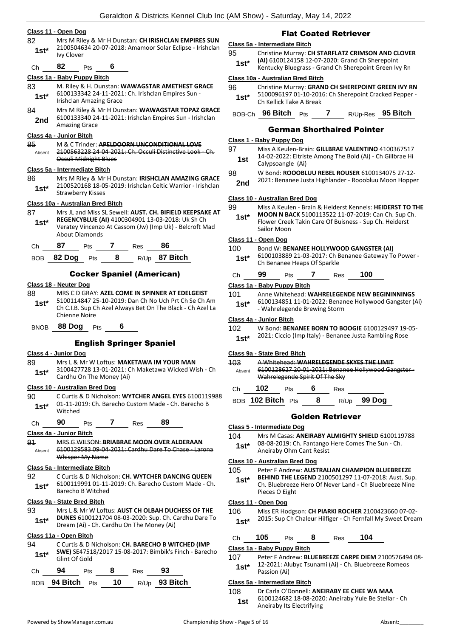#### **Class 11 - Open Dog**

82 Mrs M Riley & Mr H Dunstan: **CH IRISHCLAN EMPIRES SUN** 2100504634 20-07-2018: Amamoor Solar Eclipse - Irishclan Ivy Clover **1st\***

Ch **82** Pts **6**

#### **Class 1a - Baby Puppy Bitch**

- 83 M. Riley & H. Dunstan: **WAWAGSTAR AMETHEST GRACE** 6100133342 24-11-2021: Ch. Irishclan Empires Sun - Irishclan Amazing Grace **1st\*** 84 Mrs M Riley & Mr H Dunstan: **WAWAGSTAR TOPAZ GRACE**
- 6100133340 24-11-2021: Irishclan Empires Sun Irishclan 2nd <sup>6100133340</sup> 24<br>Amazing Grace

#### **Class 4a - Junior Bitch**

85 M & C Trinder: **APELDOORN UNCONDITIONAL LOVE** 2100563228 24-04-2021: Ch. Occuli Distinctive Look - Ch. Occuli Midnight Blues Absent

#### **Class 5a - Intermediate Bitch**

86 Mrs M Riley & Mr H Dunstan: **IRISHCLAN AMAZING GRACE** 2100520168 18-05-2019: Irishclan Celtic Warrior - Irishclan Strawberry Kisses **1st\***

#### **Class 10a - Australian Bred Bitch**

87 Mrs JL and Miss SL Sewell: **AUST. CH. BIFIELD KEEPSAKE AT REGENCYBLUE (AI)** 4100304901 13-03-2018: Uk Sh Ch Veratey Vincenzo At Cassom (Jw) (Imp Uk) - Belcroft Mad About Diamonds **1st\***

| Ch <sub>a</sub> | 87 | Pts 7 Res | -86                              |
|-----------------|----|-----------|----------------------------------|
|                 |    |           | BOB 82 Dog Pts 8 $R/Up$ 87 Bitch |

#### Cocker Spaniel (American)

#### **Class 18 - Neuter Dog**

- 88 MRS C D GRAY: **AZEL COME IN SPINNER AT EDELGEIST** 5100114847 25-10-2019: Dan Ch No Uch Prt Ch Se Ch Am Ch C.I.B. Sup Ch Azel Always Bet On The Black - Ch Azel La Chienne Noire **1st\***
- BNOB **88 Dog** Pts **6**

#### English Springer Spaniel

#### **Class 4 - Junior Dog**

- 89 Mrs L & Mr W Loftus: **MAKETAWA IM YOUR MAN**
- 3100427728 13-01-2021: Ch Maketawa Wicked Wish Ch 1st<sup>\*</sup> <sup>3100427728</sup> 13-01-2021: Q<br>Cardhu On The Money (Ai)

#### **Class 10 - Australian Bred Dog**

- 90 C Curtis & D Nicholson: **WYTCHER ANGEL EYES** 6100119988 01-11-2019: Ch. Barecho Custom Made - Ch. Barecho B Witched **1st\***
	- Ch **90** Pts **7** Res **89**

#### **Class 4a - Junior Bitch**

91 MRS G WILSON: **BRIABRAE MOON OVER ALDERAAN** 6100129583 09-04-2021: Cardhu Dare To Chase - Larona Whisper My Name Absent

#### **Class 5a - Intermediate Bitch**

92 C Curtis & D Nicholson: **CH. WYTCHER DANCING QUEEN** 6100119991 01-11-2019: Ch. Barecho Custom Made - Ch. Barecho B Witched **1st\***

#### **Class 9a - State Bred Bitch**

93 Mrs L & Mr W Loftus: **AUST CH OLBAH DUCHESS OF THE DUNES** 6100121704 08-03-2020: Sup. Ch. Cardhu Dare To Dream (Ai) - Ch. Cardhu On The Money (Ai) **1st\***

#### **Class 11a - Open Bitch**

94 C Curtis & D Nicholson: **CH. BARECHO B WITCHED (IMP SWE)** SE47518/2017 15-08-2017: Bimbik's Finch - Barecho 1st<sup>\*</sup> SWE) SE4/51<br>Glint Of Gold

| Ch | 94                       | <b>Pts</b> | - 8 | Res | -93             |
|----|--------------------------|------------|-----|-----|-----------------|
|    | BOB 94 Bitch $P_{ts}$ 10 |            |     |     | $R/Up$ 93 Bitch |

### Flat Coated Retriever

#### **Class 5a - Intermediate Bitch**

95 Christine Murray: **CH STARFLATZ CRIMSON AND CLOVER (AI)** 6100124158 12-07-2020: Grand Ch Sherepoint 1st\* (AI) 6100124158 12-07-2020: Grand Ch Sherepoint<br>Kentucky Bluegrass - Grand Ch Sherepoint Green Ivy Rn

#### **Class 10a - Australian Bred Bitch**

- 96 Christine Murray: **GRAND CH SHEREPOINT GREEN IVY RN** 5100096197 01-10-2016: Ch Sherepoint Cracked Pepper - 1st\* 510009619701-10-201<br>Ch Kellick Take A Break
- BOB-Ch **96 Bitch** Pts **7** R/Up-Res **95 Bitch**

### German Shorthaired Pointer

#### **Class 1 - Baby Puppy Dog**

- 97 Miss A Keulen-Brain: **GILLBRAE VALENTINO** 4100367517 14-02-2022: Eltriste Among The Bold (Ai) - Ch Gillbrae Hi **1st** <sup>14-02-2022: EITIST</sup>
- 98 W Bond: **ROOOBLUU REBEL ROUSER** 6100134075 27-12-
- 2021: Benanee Justa Highlander Rooobluu Moon Hopper **2nd**

#### **Class 10 - Australian Bred Dog**

- 99 Miss A Keulen Brain & Heiderst Kennels: **HEIDERST TO THE** 
	- **MOON N BACK** 5100113522 11-07-2019: Can Ch. Sup Ch. Flower Creek Takin Care Of Buisness - Sup Ch. Heiderst Sailor Moon **1st\***

#### **Class 11 - Open Dog**

- 100 Bond W: **BENANEE HOLLYWOOD GANGSTER (AI)**
- 6100103889 21-03-2017: Ch Benanee Gateway To Power **1st**\* b100103889 21-03-2017: Ch B<br>Ch Benanee Heaps Of Sparkle
- Ch **99** Pts **7** Res **100**

#### **Class 1a - Baby Puppy Bitch**

| 101    | Anne Whitehead: WAHRELEGENDE NEW BEGININNINGS          |
|--------|--------------------------------------------------------|
| $1st*$ | 6100134851 11-01-2022: Benanee Hollywood Gangster (Ai) |
|        | - Wahrelegende Brewing Storm                           |

#### **Class 4a - Junior Bitch**

#### 102 W Bond: **BENANEE BORN TO BOOGIE** 6100129497 19-05-

#### **Class 9a - State Bred Bitch**

| 403    |     |                                | A Whitehead: WAHRELEGENDE SKYES THE LIMIT<br>======== <del>====================</del> |  |
|--------|-----|--------------------------------|---------------------------------------------------------------------------------------|--|
| Absent |     |                                | 6100128627 20-01-2021: Benanee Hollywood Gangster -                                   |  |
|        |     | Wahrelegende Spirit Of The Sky |                                                                                       |  |
| C.h    | 102 | Pts                            | Res                                                                                   |  |

BOB **102 Bitch** Pts **8** R/Up **99 Dog**

#### Golden Retriever

#### **Class 5 - Intermediate Dog**

104 Mrs M Casas: **ANEIRABY ALMIGHTY SHIELD** 6100119788 08-08-2019: Ch. Fantango Here Comes The Sun - Ch. **1st**\* U8-U8-2019: Ch. Fantango<br>Aneiraby Ohm Cant Resist

## **Class 10 - Australian Bred Dog**

- 105 Peter F Andrew: **AUSTRALIAN CHAMPION BLUEBREEZE**
- **BEHIND THE LEGEND** 2100501297 11-07-2018: Aust. Sup. Ch. Bluebreeze Hero Of Never Land - Ch Bluebreeze Nine Pieces O Eight **1st\***

#### **Class 11 - Open Dog**

- 106 Miss ER Hodgson: **CH PIARKI ROCHER** 2100423660 07-02-
	- 2015: Sup Ch Chaleur Hilfiger Ch Fernfall My Sweet Dream **1st\***
- Ch **105** Pts **8** Res **104**

## **Class 1a - Baby Puppy Bitch**

107 Peter F Andrew: **BLUEBREEZE CARPE DIEM** 2100576494 08- 12-2021: Alubyc Tsunami (Ai) - Ch. Bluebreeze Romeos Passion (Ai) **1st\***

## **Class 5a - Intermediate Bitch**

- 108 Dr Carla O'Donnell: **ANEIRABY EE CHEE WA MAA**
	- 6100124682 18-08-2020: Aneiraby Yule Be Stellar Ch Aneiraby Its Electrifying **1st**

2021: Ciccio (Imp Italy) - Benanee Justa Rambling Rose **1st\***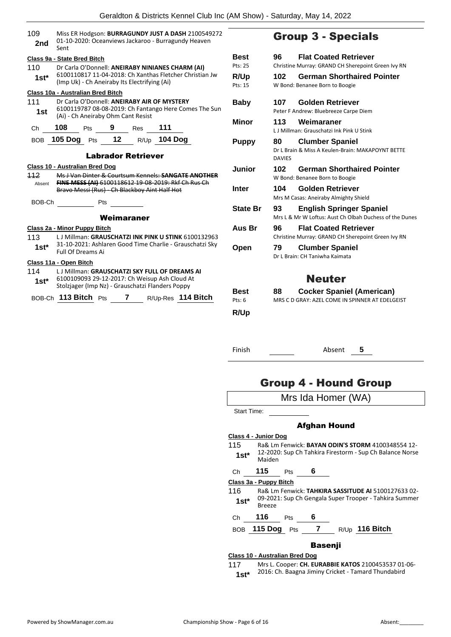| 109<br>2nd     | Miss ER Hodgson: BURRAGUNDY JUST A DASH 2100549272<br>01-10-2020: Oceanviews Jackaroo - Burragundy Heaven<br>Sent                          |                       |                     |
|----------------|--------------------------------------------------------------------------------------------------------------------------------------------|-----------------------|---------------------|
|                | Class 9a - State Bred Bitch                                                                                                                | <b>Best</b>           | 9                   |
| 110            | Dr Carla O'Donnell: ANEIRABY NINIANES CHARM (AI)                                                                                           | Pts: 25               | CI                  |
| $1st^*$        | 6100110817 11-04-2018: Ch Xanthas Fletcher Christian Jw                                                                                    | R/Up                  | 1                   |
|                | (Imp Uk) - Ch Aneiraby Its Electrifying (Ai)                                                                                               | Pts: 15               | W                   |
|                | Class 10a - Australian Bred Bitch                                                                                                          |                       |                     |
| 111<br>1st     | Dr Carla O'Donnell: ANEIRABY AIR OF MYSTERY<br>6100119787 08-08-2019: Ch Fantango Here Comes The Sun<br>(Ai) - Ch Aneiraby Ohm Cant Resist | <b>Baby</b>           | 1<br>P <sub>6</sub> |
|                |                                                                                                                                            | <b>Minor</b>          | 1                   |
| Ch             | 108<br>Pts 9 Res 111                                                                                                                       |                       | L.                  |
|                | BOB 105 Dog Pts 12 R/Up 104 Dog                                                                                                            | <b>Puppy</b>          | 8                   |
|                |                                                                                                                                            |                       | D                   |
|                | <b>Labrador Retriever</b>                                                                                                                  |                       | D,                  |
|                | <b>Class 10 - Australian Bred Dog</b>                                                                                                      | <b>Junior</b>         | 1                   |
| 112            | Ms J Van Dinter & Courtsum Kennels: SANGATE ANOTHER                                                                                        |                       | W                   |
| Absent         | FINE MESS (AI) 6100118612 19 08 2019: Rkf Ch Rus Ch<br>Bravo Messi (Rus) - Ch Blackboy Aint Half Hot                                       | <b>Inter</b>          | 1                   |
|                |                                                                                                                                            |                       | M                   |
| BOB-Ch         | <b>Pts</b>                                                                                                                                 | <b>State Br</b>       | 9                   |
|                | Weimaraner                                                                                                                                 |                       | M                   |
|                |                                                                                                                                            | Aus Br                |                     |
| 113            | Class 2a - Minor Puppy Bitch<br>L J Millman: GRAUSCHATZI INK PINK U STINK 6100132963                                                       |                       | 9<br>Cl             |
|                | 31-10-2021: Ashlaren Good Time Charlie - Grauschatzi Sky                                                                                   |                       |                     |
| $1st^*$        | Full Of Dreams Ai                                                                                                                          | Open                  | 7                   |
|                | Class 11a - Open Bitch                                                                                                                     |                       | D                   |
| 114            | L J Millman: GRAUSCHATZI SKY FULL OF DREAMS AI                                                                                             |                       |                     |
| 1st $^{\star}$ | 6100109093 29-12-2017: Ch Weisup Ash Cloud At<br>Stolzjager (Imp Nz) - Grauschatzi Flanders Poppy                                          |                       |                     |
|                |                                                                                                                                            |                       |                     |
|                | BOB-Ch 113 Bitch Pts 7 R/Up-Res 114 Bitch                                                                                                  | <b>Best</b><br>Pts: 6 | 8<br>M              |

## Group 3 - Specials

| Best<br>Pts: 25          | <b>Flat Coated Retriever</b><br>96<br>Christine Murray: GRAND CH Sherepoint Green Ivy RN           |
|--------------------------|----------------------------------------------------------------------------------------------------|
| R/Up<br>Pts: 15          | <b>German Shorthaired Pointer</b><br>102<br>W Bond: Benanee Born to Boogie                         |
| Baby                     | <b>Golden Retriever</b><br>107<br>Peter F Andrew: Bluebreeze Carpe Diem                            |
| Minor                    | 113<br>Weimaraner<br>L.J. Millman: Grauschatzi Ink Pink U Stink                                    |
| <b>Puppy</b>             | 80<br><b>Clumber Spaniel</b><br>Dr L Brain & Miss A Keulen-Brain: MAKAPOYNT BETTE<br><b>DAVIES</b> |
| Junior                   | <b>German Shorthaired Pointer</b><br>102<br>W Bond: Benanee Born to Boogie                         |
| Inter                    | 104<br>Golden Retriever<br>Mrs M Casas: Aneiraby Almighty Shield                                   |
| <b>State Br</b>          | 93<br><b>English Springer Spaniel</b><br>Mrs L & Mr W Loftus: Aust Ch Olbah Duchess of the Dunes   |
| Aus Br                   | <b>Flat Coated Retriever</b><br>96<br>Christine Murray: GRAND CH Sherepoint Green Ivy RN           |
| Open                     | 79<br><b>Clumber Spaniel</b><br>Dr J Brain: CH Taniwha Kaimata                                     |
|                          | <b>Neuter</b>                                                                                      |
| Best<br>Pts: $6$<br>R/Up | <b>Cocker Spaniel (American)</b><br>88<br>MRS C.D GRAY: AZEL COME IN SPINNER AT EDELGEIST          |
| Finish                   | Absent<br>5                                                                                        |

## Group 4 - Hound Group



117 Mrs L. Cooper: **CH. EURABBIE KATOS** 2100453537 01-06- 2016: Ch. Baagna Jiminy Cricket - Tamard Thundabird **1st\***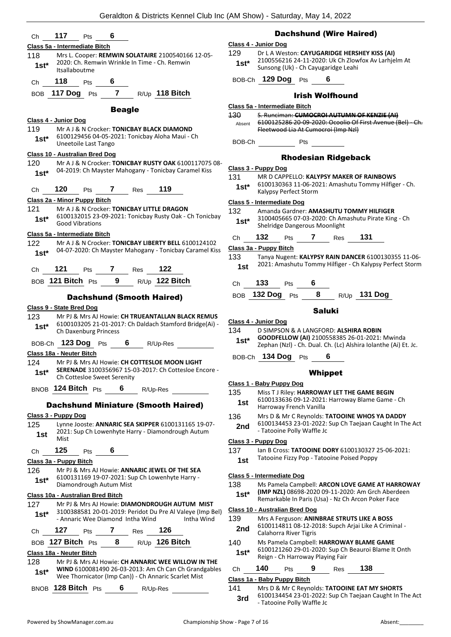| Ch              | 117<br>6<br>Pts                                                                                                   |               | Da                                 |
|-----------------|-------------------------------------------------------------------------------------------------------------------|---------------|------------------------------------|
|                 | Class 5a - Intermediate Bitch                                                                                     |               | Class 4 - Junior Dog               |
| 118             | Mrs L. Cooper: REMWIN SOLATAIRE 2100540166 12-05-                                                                 | 129           | Dr L A Wes<br>21005562             |
| $1st^*$         | 2020: Ch. Remwin Wrinkle In Time - Ch. Remwin<br>Itsallaboutme                                                    | $1st*$        | Sunsong (l                         |
| Ch              | 118<br>6<br>Pts                                                                                                   |               | BOB-Ch 129 Do                      |
|                 | BOB 117 Dog Pts 7 R/Up 118 Bitch                                                                                  |               |                                    |
|                 | <b>Beagle</b>                                                                                                     |               | Class 5a - Intermedia              |
|                 | Class 4 - Junior Dog                                                                                              | 130<br>Absent | S. Runcima<br>610012528            |
| 119.            | Mr A J & N Crocker: TONICBAY BLACK DIAMOND                                                                        |               | <b>Fleetwood</b>                   |
| $1st^*$         | 6100129456 04-05-2021: Tonicbay Aloha Maui - Ch<br>Uneetoile Last Tango                                           | BOB-Ch        |                                    |
|                 | <b>Class 10 - Australian Bred Dog</b>                                                                             |               | R                                  |
| 120             | Mr A J & N Crocker: TONICBAY RUSTY OAK 6100117075 08-<br>04-2019: Ch Mayster Mahogany - Tonicbay Caramel Kiss     |               | Class 3 - Puppy Dog                |
| $1st^*$         |                                                                                                                   | 131           | <b>MRD CAPI</b>                    |
| Ch              | 119<br>120<br>7 Res<br>Pts                                                                                        | $1st^*$       | 610013036<br>Kalypsy Pe            |
|                 | Class 2a - Minor Puppy Bitch                                                                                      |               | Class 5 - Intermediat              |
| 121             | Mr A J & N Crocker: TONICBAY LITTLE DRAGON<br>6100132015 23-09-2021: Tonicbay Rusty Oak - Ch Tonicbay             | 132           | Amanda G                           |
| 1st*            | <b>Good Vibrations</b>                                                                                            | $1st^*$       | 310040566<br>Shelridge I           |
|                 | Class 5a - Intermediate Bitch                                                                                     | Ch            | 132<br>– F                         |
| 122             | Mr A J & N Crocker: TONICBAY LIBERTY BELL 6100124102<br>04-07-2020: Ch Mayster Mahogany - Tonicbay Caramel Kiss   |               | Class 3a - Puppy Bit               |
| $1st^*$         |                                                                                                                   | 133           | <b>Tanya Nug</b>                   |
| Ch <sub>a</sub> | 121 Pts 7 Res 122                                                                                                 | 1st           | 2021: Ama                          |
|                 | BOB 121 Bitch Pts 9 $R/Up$ 122 Bitch                                                                              | Ch            | 133 F                              |
|                 | <b>Dachshund (Smooth Haired)</b>                                                                                  |               | <b>BOB</b> 132 Dog                 |
|                 | Class 9 - State Bred Dog                                                                                          |               |                                    |
| 123             | Mr PJ & Mrs AJ Howie: CH TRUEANTALLAN BLACK REMUS                                                                 |               | Class 4 - Junior Dog               |
| $1st^*$         | 6100103205 21-01-2017: Ch Daldach Stamford Bridge(Ai) -<br>Ch Daxenburg Princess                                  | 134           | <b>D SIMPSOI</b>                   |
|                 | BOB-Ch 123 Dog Pts 6 R/Up-Res                                                                                     | $1st^*$       | <b>GOODFELI</b>                    |
|                 | Class 18a - Neuter Bitch                                                                                          |               | Zephan (N                          |
| 124             | Mr PJ & Mrs AJ Howie: CH COTTESLOE MOON LIGHT                                                                     |               | BOB-Ch 134 Do                      |
| $1st^*$         | SERENADE 3100356967 15-03-2017: Ch Cottesloe Encore -<br>Ch Cottesloe Sweet Serenity                              |               |                                    |
|                 | BNOB 124 Bitch Pts<br>6                                                                                           |               | Class 1 - Baby Pupp                |
|                 | R/Up-Res                                                                                                          | 135           | Miss T J Ril<br>610013363          |
|                 | <b>Dachshund Miniature (Smooth Haired)</b>                                                                        | 1st           | Harroway                           |
|                 | Class 3 - Puppy Dog                                                                                               | 136           | Mrs D & N                          |
| 125             | Lynne Jooste: ANNARIC SEA SKIPPER 6100131165 19-07-<br>2021: Sup Ch Lowenhyte Harry - Diamondrough Autum          | 2nd           | 61001344<br>- Tatooine             |
| 1st             | Mist                                                                                                              |               | Class 3 - Puppy Dog                |
| Ch              | 125<br>6<br><b>Pts</b>                                                                                            | 137           | lan B Cross                        |
|                 | Class 3a - Puppy Bitch                                                                                            | 1st           | <b>Tatooine F</b>                  |
| 126             | Mr PJ & Mrs AJ Howie: ANNARIC JEWEL OF THE SEA                                                                    |               |                                    |
| $1st*$          | 6100131169 19-07-2021: Sup Ch Lowenhyte Harry -<br>Diamondrough Autum Mist                                        | 138           | Class 5 - Intermediat<br>Ms Pamela |
|                 | Class 10a - Australian Bred Bitch                                                                                 | $1st*$        | (IMP NZL)                          |
| 127             | Mr PJ & Mrs AJ Howie: DIAMONDROUGH AUTUM MIST                                                                     |               | Remarkabl                          |
| $1st*$          | 3100388581 20-01-2019: Peridot Du Pre Al Valeye (Imp Bel)                                                         |               | <b>Class 10 - Australian</b>       |
|                 | - Annaric Wee Diamond Intha Wind<br>Intha Wind                                                                    | 139           | Mrs A Ferg<br>61001148             |
| Ch              | 127<br>$\overline{7}$<br>126<br>Pts<br><b>Res</b>                                                                 | 2nd           | Calahorra                          |
|                 | BOB 127 Bitch Pts 8<br>R/Up 126 Bitch                                                                             | 140           | Ms Pamela<br>610012126             |
|                 | Class 18a - Neuter Bitch                                                                                          | $1st*$        | Reign - Ch                         |
| 128<br>$1st*$   | Mr PJ & Mrs AJ Howie: CH ANNARIC WEE WILLOW IN THE<br><b>WIND 6100081490 26-03-2013: Am Ch Can Ch Grandgables</b> | Ch            | 140<br>– F                         |
|                 | Wee Thornicator (Imp Can)) - Ch Annaric Scarlet Mist                                                              |               | Class 1a - Baby Pup                |

#### achshund (Wire Haired)

#### **Class 4 - Junior Dog**

Veston: **CAYUGARIDGE HERSHEY KISS (AI)** 6216 24-11-2020: Uk Ch Zlowfox Av Larhjelm At g (Uk) - Ch Cayugaridge Leahi

BOB-Ch **129 Dog** Pts **6**

### Irish Wolfhound

#### **Class 5a - Intermediate Bitch**

man: **CUMOCROI AUTUMN OF KENZIE (AI)** 5286 20-09-2020: Ocoolio Of First Avenue (Bel) - Ch. od Lia At Cumocroi (Imp Nzl)

 $B_{\text{B}}$  Pts

#### Rhodesian Ridgeback

- 131 MR D CAPPELLO: **KALYPSY MAKER OF RAINBOWS**
- 0363 11-06-2021: Amashutu Tommy Hilfiger Ch. **Perfect Storm**

#### **Class 5 - Intermediate Dog**

#### 132 Amanda Gardner: **AMASHUTU TOMMY HILFIGER**

5665 07-03-2020: Ch Amashutu Pirate King - Ch **Shellangerous Moonlight** 

| 132<br>Сh |  | Pts |  | Res | 131 |
|-----------|--|-----|--|-----|-----|
|-----------|--|-----|--|-----|-----|

#### **Bitch**

- 133 Tanya Nugent: **KALYPSY RAIN DANCER** 6100130355 11-06-
- mashutu Tommy Hilfiger Ch Kalypsy Perfect Storm
- Ch **133** Pts **6**

BOB **132 Dog** Pts **8** R/Up **131 Dog**

#### Saluki

#### **Class 4 - Junior Dog**

 $130N$  & A LANGFORD: **ALSHIRA ROBIN GOODFELLOW (AI)** 2100558385 26-01-2021: Mwinda (Nzl) - Ch. Dual. Ch. (Lc) Alshira Iolanthe (Ai) Et. Jc.

BOB-Ch **134 Dog** Pts **6**

### Whippet

#### **Class 1 - Baby Puppy Dog**

- **Riley: HARROWAY LET THE GAME BEGIN**
- 3636 09-12-2021: Harroway Blame Game Ch ay French Vanilla
- **Mr C Reynolds: TATOOINE WHOS YA DADDY**
- 4453 23-01-2022: Sup Ch Taejaan Caught In The Act ne Polly Waffle Jc

#### **Class 3 - Puppy Dog**

- 137 Ian B Cross: **TATOOINE DORY** 6100130327 25-06-2021:
- e Fizzy Pop Tatooine Poised Poppy

#### **Class 5 - Intermediate Dog**

- **1ela Campbell: ARCON LOVE GAME AT HARROWAY**
- **(IMP NZL)** 08698-2020 09-11-2020: Am Grch Aberdeen able In Paris (Usa) - Nz Ch Arcon Poker Face

#### **Class 10 - Australian Bred Dog**

- 139 Mrs A Ferguson: **ANINBRAE STRUTS LIKE A BOSS**
- 4811 08-12-2018: Supch Arjai Like A Criminal **ra River Tigris**
- 140 Ms Pamela Campbell: **HARROWAY BLAME GAME** 1260 29-01-2020: Sup Ch Beauroi Blame It Onth
- **Ch Harroway Playing Fair**

## Ch **140** Pts **9** Res **138**

#### **Class 1a - Baby Puppy Bitch**

- 141 Mrs D & Mr C Reynolds: **TATOOINE EAT MY SHORTS**
	- 6100134454 23-01-2022: Sup Ch Taejaan Caught In The Act - Tatooine Polly Waffle Jc **3rd**

BNOB **128 Bitch** Pts **6** R/Up-Res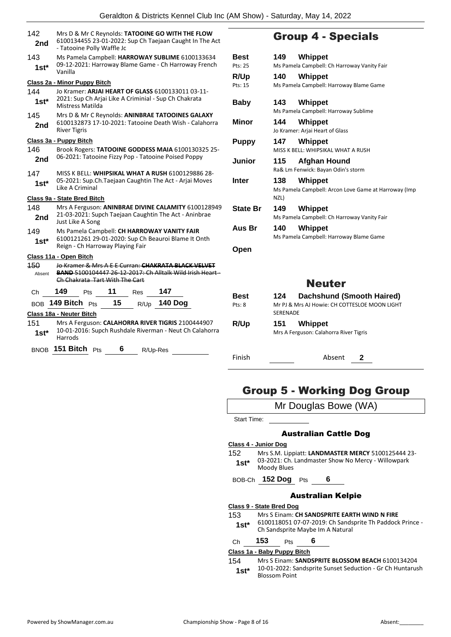| 142<br>2nd    | Mrs D & Mr C Reynolds: TATOOINE GO WITH THE FLOW<br>6100134455 23-01-2022: Sup Ch Taejaan Caught In The Act<br>- Tatooine Polly Waffle Jc         |            |  |  |  |  |  |
|---------------|---------------------------------------------------------------------------------------------------------------------------------------------------|------------|--|--|--|--|--|
| 143<br>$1st*$ | Ms Pamela Campbell: HARROWAY SUBLIME 6100133634<br>Вe<br>09-12-2021: Harroway Blame Game - Ch Harroway French<br><b>Pts</b><br>Vanilla            |            |  |  |  |  |  |
|               | Class 2a - Minor Puppy Bitch                                                                                                                      | R/<br>Pts: |  |  |  |  |  |
| 144<br>$1st*$ | Jo Kramer: ARJAI HEART OF GLASS 6100133011 03-11-<br>2021: Sup Ch Arjai Like A Criminial - Sup Ch Chakrata<br>Mistress Matilda                    | Βа         |  |  |  |  |  |
| 145<br>2nd    | Mrs D & Mr C Reynolds: ANINBRAE TATOOINES GALAXY<br>6100132873 17-10-2021: Tatooine Death Wish - Calahorra<br><b>River Tigris</b>                 | Мi         |  |  |  |  |  |
|               | Class 3a - Puppy Bitch                                                                                                                            | Ρυ         |  |  |  |  |  |
| 146<br>2nd    | Brook Rogers: TATOOINE GODDESS MAIA 6100130325 25-<br>06-2021: Tatooine Fizzy Pop - Tatooine Poised Poppy                                         | Ju         |  |  |  |  |  |
| 147<br>$1st*$ | MISS K BELL: WHIPSIKAL WHAT A RUSH 6100129886 28-<br>05-2021: Sup.Ch.Taejaan Caughtin The Act - Arjai Moves<br>Int<br>Like A Criminal             |            |  |  |  |  |  |
|               | Class 9a - State Bred Bitch                                                                                                                       |            |  |  |  |  |  |
| 148<br>2nd    | Mrs A Ferguson: ANINBRAE DIVINE CALAMITY 6100128949<br>St.<br>21-03-2021: Supch Taejaan Caughtin The Act - Aninbrae<br>Just Like A Song           |            |  |  |  |  |  |
| 149<br>$1st*$ | Αι<br>Ms Pamela Campbell: CH HARROWAY VANITY FAIR<br>6100121261 29-01-2020: Sup Ch Beauroi Blame It Onth<br>Reign - Ch Harroway Playing Fair      |            |  |  |  |  |  |
|               | Class 11a - Open Bitch                                                                                                                            | Οŗ         |  |  |  |  |  |
| 150<br>Absent | Jo Kramer & Mrs A E E Curran: CHAKRATA BLACK VELVET<br>BAND 5100104447 26-12-2017: Ch Alltalk Wild Irish Heart-<br>Ch Chakrata Tart With The Cart |            |  |  |  |  |  |
| Сh            | 149<br>11<br>147<br>Res<br>Pts                                                                                                                    |            |  |  |  |  |  |
|               | R/Up 140 Dog<br>BOB 149 Bitch Pts<br>15                                                                                                           | Bє<br>Pts: |  |  |  |  |  |
|               | Class 18a - Neuter Bitch                                                                                                                          |            |  |  |  |  |  |
| 151<br>1st*   | Mrs A Ferguson: CALAHORRA RIVER TIGRIS 2100444907<br>10-01-2016: Supch Rushdale Riverman - Neut Ch Calahorra<br>Harrods                           | R/         |  |  |  |  |  |
|               | BNOB 151 Bitch Pts<br>6<br>R/Up-Res                                                                                                               |            |  |  |  |  |  |

## Group 4 - Specials

| Best            | 149  | Whippet                                              |
|-----------------|------|------------------------------------------------------|
| Pts: 25         |      | Ms Pamela Campbell: Ch Harroway Vanity Fair          |
| R/Up            | 140  | Whippet                                              |
| Pts: 15         |      | Ms Pamela Campbell: Harroway Blame Game              |
| Baby            | 143  | Whippet                                              |
|                 |      | Ms Pamela Campbell: Harroway Sublime                 |
| Minor           | 144  | <b>Whippet</b>                                       |
|                 |      | Jo Kramer: Arjai Heart of Glass                      |
| <b>Puppy</b>    | 147  | <b>Whippet</b>                                       |
|                 |      | MISS K BELL: WHIPSIKAL WHAT A RUSH                   |
| Junior          | 115  | Afghan Hound                                         |
|                 |      | Ra& Lm Fenwick: Bayan Odin's storm                   |
| Inter           | 138  | Whippet                                              |
|                 | NZL) | Ms Pamela Campbell: Arcon Love Game at Harroway (Imp |
| <b>State Br</b> | 149  | Whippet                                              |
|                 |      | Ms Pamela Campbell: Ch Harroway Vanity Fair          |
| Aus Br          | 140  | Whippet                                              |
|                 |      | Ms Pamela Campbell: Harroway Blame Game              |
| Open            |      |                                                      |
|                 |      |                                                      |
|                 |      |                                                      |
|                 |      |                                                      |

## Neuter

| Best   | <b>Dachshund (Smooth Haired)</b><br>124                          |
|--------|------------------------------------------------------------------|
| Pts: 8 | Mr PJ & Mrs AJ Howie: CH COTTESLOE MOON LIGHT<br><b>SERENADE</b> |
| R/Up   | Whippet<br>151<br>Mrs A Ferguson: Calahorra River Tigris         |
| Finish | Absent                                                           |

## Group 5 - Working Dog Group

Mr Douglas Bowe (WA)

Start Time:

### Australian Cattle Dog

- **Class 4 - Junior Dog**
- 152 Mrs S.M. Lippiatt: **LANDMASTER MERCY** 5100125444 23- 03-2021: Ch. Landmaster Show No Mercy - Willowpark 1st<sup>\*</sup> 03-2021: Ch.
- BOB-Ch **152 Dog** Pts **6**

#### Australian Kelpie

#### **Class 9 - State Bred Dog**

- 153 Mrs S Einam: **CH SANDSPRITE EARTH WIND N FIRE**
	- 6100118051 07-07-2019: Ch Sandsprite Th Paddock Prince **1st**\* 6100118051 07-07-2019: Ch Sands<br>Ch Sandsprite Maybe Im A Natural

## Ch **153** Pts **6**

**Class 1a - Baby Puppy Bitch**

#### 154 Mrs S Einam: **SANDSPRITE BLOSSOM BEACH** 6100134204 10-01-2022: Sandsprite Sunset Seduction - Gr Ch Huntarush Blossom Point **1st\***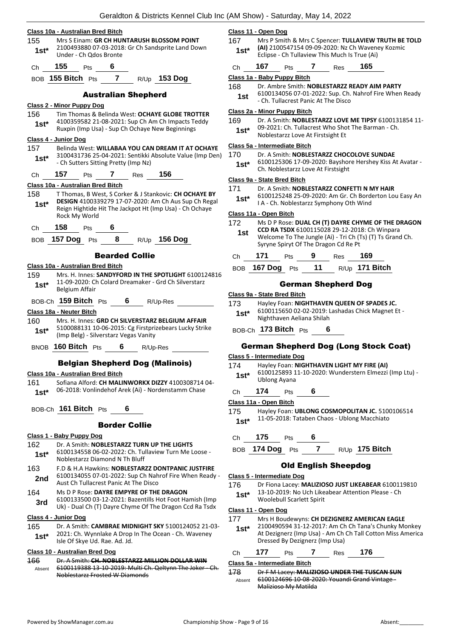|                | Class 10a - Australian Bred Bitch                                                                               | Class 11                |
|----------------|-----------------------------------------------------------------------------------------------------------------|-------------------------|
| 155            | Mrs S Einam: GR CH HUNTARUSH BLOSSOM POINT                                                                      | 167                     |
| $1st*$         | 2100493880 07-03-2018: Gr Ch Sandsprite Land Down<br>Under - Ch Odos Bronte                                     | $1st^*$                 |
| Ch             | 155<br>6<br>Pts                                                                                                 | Сh                      |
|                | $\overline{7}$<br>$R/Up$ 153 Dog<br>BOB 155 Bitch Pts                                                           | Class 1a<br>168         |
|                | <b>Australian Shepherd</b>                                                                                      | 1st                     |
|                | Class 2 - Minor Puppy Dog                                                                                       | Class 2a                |
| 156            | Tim Thomas & Belinda West: OCHAYE GLOBE TROTTER<br>4100359582 21-08-2021: Sup Ch Am Ch Impacts Teddy            | 169                     |
| $1st^*$        | Ruxpin (Imp Usa) - Sup Ch Ochaye New Beginnings                                                                 | $1st^*$                 |
|                | Class 4 - Junior Dog                                                                                            | Class 5a                |
| 157<br>$1st^*$ | Belinda West: WILLABAA YOU CAN DREAM IT AT OCHAYE<br>3100431736 25-04-2021: Sentikki Absolute Value (Imp Den)   | 170                     |
|                | - Ch Sutters Sitting Pretty (Imp Nz)                                                                            | 1st*                    |
| Ch             | 157<br>7 Res 156<br>Pts                                                                                         | Class 9a                |
|                | Class 10a - Australian Bred Bitch                                                                               | 171                     |
| 158            | T Thomas, B West, S Corker & J Stankovic: CH OCHAYE BY                                                          | $1st^*$                 |
| $1st*$         | DESIGN 4100339279 17-07-2020: Am Ch Aus Sup Ch Regal<br>Reign Hightide Hit The Jackpot Ht (Imp Usa) - Ch Ochaye |                         |
|                | Rock My World                                                                                                   | Class 11a               |
| Ch             | 158<br>6<br>Pts                                                                                                 | 172                     |
| <b>BOB</b>     | <b>157 Dog</b><br>8<br>R/Up 156 Dog<br>Pts                                                                      | 1st                     |
|                | <b>Bearded Collie</b>                                                                                           | Ch                      |
|                | Class 10a - Australian Bred Bitch                                                                               | BOB                     |
| 159            | Mrs. H. Innes: SANDYFORD IN THE SPOTLIGHT 6100124816                                                            |                         |
| $1st^*$        | 11-09-2020: Ch Colard Dreamaker - Grd Ch Silverstarz<br>Belgium Affair                                          |                         |
|                | BOB-Ch <b>159 Bitch</b> Pts<br>6<br>R/Up-Res                                                                    | <u>Class 9a </u><br>173 |
|                | Class 18a - Neuter Bitch                                                                                        | 1st*                    |
| 160            | Mrs. H. Innes: GRD CH SILVERSTARZ BELGIUM AFFAIR                                                                |                         |
| $1st^*$        | 5100088131 10-06-2015: Cg Firstprizebears Lucky Strike<br>(Imp Belg) - Silverstarz Vegas Vanity                 | BOB-Ch                  |
|                | BNOB 160 Bitch Pts<br>$6$ R/Up-Res                                                                              | Ger                     |
|                | <b>Belgian Shepherd Dog (Malinois)</b>                                                                          | Class 5 -<br>174        |
|                | Class 10a - Australian Bred Bitch                                                                               | $1st^*$                 |
| 161            | Sofiana Alford: CH MALINWORKX DIZZY 4100308714 04-                                                              |                         |
| $1st^*$        | 06-2018: Vonlindehof Arek (Ai) - Nordenstamm Chase                                                              | Ch                      |
|                |                                                                                                                 | Class 11a               |
|                | BOB-Ch 161 Bitch Pts<br>6                                                                                       | 175                     |
|                | <b>Border Collie</b>                                                                                            | 1st*                    |
|                | Class 1 - Baby Puppy Dog                                                                                        | Сh                      |
| 162            | Dr. A Smith: NOBLESTARZZ TURN UP THE LIGHTS                                                                     | BOB                     |
| $1st*$         | 6100134558 06-02-2022: Ch. Tullaview Turn Me Loose -<br>Noblestarzz Diamond N Th Bluff                          |                         |
| 163            | F.D & H.A Hawkins: NOBLESTARZZ DONTPANIC JUSTFIRE                                                               |                         |
| 2nd            | 6100134055 07-01-2022: Sup Ch Nahrof Fire When Ready -<br>Aust Ch Tullacrest Panic At The Disco                 | Class 5 -               |
| 164            | Ms D P Rose: DAYRE EMPYRE OF THE DRAGON                                                                         | 176                     |
| 3rd            | 6100133500 03-12-2021: Bazentills Hot Foot Hamish (Imp                                                          | 1st*                    |
|                | Uk) - Dual Ch (T) Dayre Chyme Of The Dragon Ccd Ra Tsdx                                                         | Class 11                |
| 165            | Class 4 - Junior Dog<br>Dr. A Smith: CAMBRAE MIDNIGHT SKY 5100124052 21-03-                                     | 177                     |
| $1st*$         | 2021: Ch. Wynnlake A Drop In The Ocean - Ch. Waveney<br>Isle Of Skye Ud. Rae. Ad. Jd.                           | $1st*$                  |
|                | Class 10 - Australian Bred Dog                                                                                  | Ch                      |
| 166            | Dr. A Smith: CH. NOBLESTARZZ MILLION DOLLAR WIN                                                                 | Class 5a                |
| Absent         | 6100119388 13 10 2019: Multi Ch. Qeltynn The Joker Ch.<br>Noblestarzz Frosted W Diamonds                        | 178                     |
|                |                                                                                                                 |                         |

#### **Class 11 - Open Dog**

- 167 Mrs P Smith & Mrs C Spencer: **TULLAVIEW TRUTH BE TOLD (AI)** 2100547154 09-09-2020: Nz Ch Waveney Kozmic Eclipse - Ch Tullaview This Much Is True (Ai)
- Ch **167** Pts **7** Res **165**

```
Class 1a - Baby Puppy Bitch
```
- 168 Dr. Ambre Smith: **NOBLESTARZZ READY AIM PARTY**
- 6100134056 07-01-2022: Sup. Ch. Nahrof Fire When Ready - Ch. Tullacrest Panic At The Disco

#### **Class 2a - Minor Puppy Bitch**

169 Dr. A Smith: **NOBLESTARZZ LOVE ME TIPSY** 6100131854 11- 09-2021: Ch. Tullacrest Who Shot The Barman - Ch.

**Noblestarzz Love At Firstsight Et** 

#### **Class 5a - Intermediate Bitch**

- Dr. A Smith: **NOBLESTARZZ CHOCOLOVE SUNDAE**
- 6100125306 17-09-2020: Bayshore Hershey Kiss At Avatar **Ch. Noblestarzz Love At Firstsight**

#### **Class 9a - State Bred Bitch**

- 171 Dr. A Smith: **NOBLESTARZZ CONFETTI N MY HAIR**
- 6100125248 25-09-2020: Am Gr. Ch Borderton Lou Easy An I A - Ch. Noblestarzz Symphony Oth Wind

## **Class 11a - Open Bitch**

| 172<br>1st |     |            |   | Syryne Spiryt Of The Dragon Cd Re Pt | CCD RA TSDX 6100115028 29-12-2018: Ch Winpara | Ms D P Rose: DUAL CH (T) DAYRE CHYME OF THE DRAGON<br>Welcome To The Jungle (Ai) - Tri Ch (Ts) (T) Ts Grand Ch. |
|------------|-----|------------|---|--------------------------------------|-----------------------------------------------|-----------------------------------------------------------------------------------------------------------------|
| Ch         | 171 | <b>Pts</b> | 9 | <b>Res</b>                           | 169                                           |                                                                                                                 |

| BOB 167 Dog Pts | $-11$ | R/Up <b>171 Bitch</b> |
|-----------------|-------|-----------------------|

### German Shepherd Dog

#### **Class 9a - State Bred Bitch**

Hayley Foan: **NIGHTHAVEN QUEEN OF SPADES JC.** 6100115650 02-02-2019: Lashadas Chick Magnet Et - **Nighthaven Aeliana Shilah** 

BOB-Ch **173 Bitch** Pts **6**

#### man Shepherd Dog (Long Stock Coat)

#### **Class 5 - Intermediate Dog**

- Hayley Foan: **NIGHTHAVEN LIGHT MY FIRE (AI)**
- 6100125893 11-10-2020: Wunderstern Elmezzi (Imp Ltu) **Ublong Ayana**
- Ch **174** Pts **6**

## **Class 11a - Open Bitch**

175 Hayley Foan: **UBLONG COSMOPOLITAN JC.** 5100106514 11-05-2018: Tataben Chaos - Ublong Macchiato

#### Ch **175** Pts **6**

BOB **174 Dog** Pts **7** R/Up **175 Bitch**

## Old English Sheepdog

#### **Class 5 - Intermediate Dog**

- 176 Dr Fiona Lacey: **MALIZIOSO JUST LIKEABEAR** 6100119810 13-10-2019: No Uch Likeabear Attention Please - Ch
- **Woolebull Scarlett Spirit**

## **Class 11 - Open Dog**

- 177 Mrs H Boudewyns: **CH DEZIGNERZ AMERICAN EAGLE**
- 2100490594 31-12-2017: Am Ch Ch Tana's Chunky Monkey At Dezignerz (Imp Usa) - Am Ch Ch Tall Cotton Miss America Dressed By Dezignerz (Imp Usa)

#### Ch **177** Pts **7** Res **176**

#### **Class 5a - Intermediate Bitch**

178 Dr F M Lacey: **MALIZIOSO UNDER THE TUSCAN SUN** 6100124696 10-08-2020: Youandi Grand Vintage - Malizioso My Matilda Absent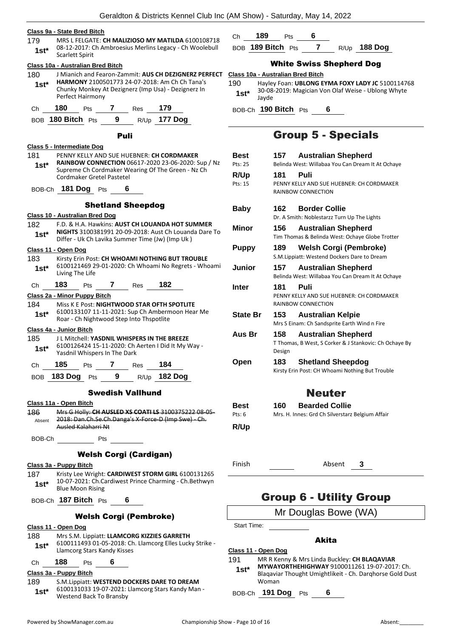#### **Class 9a - State Bred Bitch**

- 179 MRS L FELGATE: **CH MALIZIOSO MY MATILDA** 6100108718 08-12-2017: Ch Ambroesius Merlins Legacy - Ch Woolebull 1st\* Up-14-2017.
- **Class 10a - Australian Bred Bitch** 180 J Mianich and Fearon-Zammit: **AUS CH DEZIGNERZ PERFECT HARMONY** 2100501773 24-07-2018: Am Ch Ch Tana's
- Chunky Monkey At Dezignerz (Imp Usa) Dezignerz In Perfect Hairmony **1st\***
- Ch **180** Pts **7** Res **179**
- BOB **180 Bitch** Pts **9** R/Up **177 Dog**

#### Puli

- **Class 5 - Intermediate Dog** 181 PENNY KELLY AND SUE HUEBNER: **CH CORDMAKER RAINBOW CONNECTION** 06617-2020 23-06-2020: Sup / Nz Supreme Ch Cordmaker Wearing Of The Green - Nz Ch Cordmaker Gretel Pastetel **1st\***
- BOB-Ch **181 Dog** Pts **6**

#### Shetland Sheepdog

#### **Class 10 - Australian Bred Dog**

- 182 F.D. & H.A. Hawkins: **AUST CH LOUANDA HOT SUMMER NIGHTS** 3100381991 20-09-2018: Aust Ch Louanda Dare To Differ - Uk Ch Lavika Summer Time (Jw) (Imp Uk ) **1st\* Class 11 - Open Dog** 183 Kirsty Erin Post: **CH WHOAMI NOTHING BUT TROUBLE**
- 6100121469 29-01-2020: Ch Whoami No Regrets Whoami Living The Life **1st\***
- Ch **183** Pts **7** Res **182**

#### **Class 2a - Minor Puppy Bitch**

184 Miss K E Post: **NIGHTWOOD STAR OFTH SPOTLITE** 6100133107 11-11-2021: Sup Ch Ambermoon Hear Me **1st**\* b100133107 11-11-2021: Sup Ch Ambern<br>Roar - Ch Nightwood Step Into Thspotlite

#### **Class 4a - Junior Bitch**

- 185 J L Mitchell: **YASDNIL WHISPERS IN THE BREEZE** 6100126424 15-11-2020: Ch Aerten I Did It My Way - 1st\* b<sup>100126424</sup> 15-11-2020: Ch
- Ch **185** Pts **7** Res **184**
- BOB **183 Dog** Pts **9** R/Up **182 Dog**

#### Swedish Vallhund

- **Class 11a - Open Bitch** 186 Mrs G Holly: **CH AUSLED XS COATI LS** 3100375222 08-05- 2018: Dan.Ch.Se.Ch.Danga's X-Force-D (Imp Swe) - Ch. Ausled Kalaharri Nt Absent
- BOB-Ch Pts

#### Welsh Corgi (Cardigan)

**Class 3a - Puppy Bitch**

- 187 Kristy Lee Wright: **CARDIWEST STORM GIRL** 6100131265 10-07-2021: Ch.Cardiwest Prince Charming - Ch.Bethwyn **1st**\* 10-07-2021: Ch.Ca<br>Blue Moon Rising
- BOB-Ch **187 Bitch** Pts **6**
	- Welsh Corgi (Pembroke)

#### **Class 11 - Open Dog**

188 Mrs S.M. Lippiatt: **LLAMCORG KIZZIES GARRETH** 6100111493 01-05-2018: Ch. Llamcorg Elles Lucky Strike - Llamcorg Stars Kandy Kisses **1st\***

## Ch **188** Pts **6**

#### **Class 3a - Puppy Bitch**

189 S.M.Lippiatt: **WESTEND DOCKERS DARE TO DREAM** 6100131033 19-07-2021: Llamcorg Stars Kandy Man - Westend Back To Bransby **1st\***

- Ch **189** Pts **6**
- BOB **189 Bitch** Pts **7** R/Up **188 Dog**

## White Swiss Shepherd Dog

- **Class 10a - Australian Bred Bitch**
- 190 Hayley Foan: **UBLONG EYMA FOXY LADY JC** 5100114768 30-08-2019: Magician Von Olaf Weise - Ublong Whyte Jayde **1st\***

BOB-Ch **190 Bitch** Pts **6**

## Group 5 - Specials

| <b>Best</b><br>Pts: 25  | 157 —         | <b>Australian Shepherd</b><br>Belinda West: Willabaa You Can Dream It At Ochaye      |  |  |
|-------------------------|---------------|--------------------------------------------------------------------------------------|--|--|
| R/Up                    | 181           | Puli                                                                                 |  |  |
| Pts: 15                 |               | PENNY KELLY AND SUE HUEBNER: CH CORDMAKER<br>RAINBOW CONNECTION                      |  |  |
| Baby                    | 162           | <b>Border Collie</b><br>Dr. A Smith: Noblestarzz Turn Up The Lights                  |  |  |
| Minor                   | 156           | <b>Australian Shepherd</b><br>Tim Thomas & Belinda West: Ochaye Globe Trotter        |  |  |
| <b>Puppy</b>            | 189           | Welsh Corgi (Pembroke)<br>S.M.Lippiatt: Westend Dockers Dare to Dream                |  |  |
| <b>Junior</b>           | 157           | <b>Australian Shepherd</b><br>Belinda West: Willabaa You Can Dream It At Ochaye      |  |  |
| Inter                   | 181           | Puli<br>PENNY KELLY AND SUE HUEBNER: CH CORDMAKER<br>RAINBOW CONNECTION              |  |  |
| <b>State Br</b>         | 153           | <b>Australian Kelpie</b><br>Mrs S Einam: Ch Sandsprite Earth Wind n Fire             |  |  |
| Aus Br                  | 158<br>Design | <b>Australian Shepherd</b><br>T Thomas, B West, S Corker & J Stankovic: Ch Ochaye By |  |  |
| Open                    | 183           | <b>Shetland Sheepdog</b><br>Kirsty Erin Post: CH Whoami Nothing But Trouble          |  |  |
|                         |               | <b>Neuter</b>                                                                        |  |  |
| <b>Best</b><br>Pts: $6$ | 160.          | <b>Bearded Collie</b><br>Mrs. H. Innes: Grd Ch Silverstarz Belgium Affair            |  |  |
| <b>R/Up</b>             |               |                                                                                      |  |  |

Finish Absent **3**

## Group 6 - Utility Group

## Mr Douglas Bowe (WA)

Start Time:

#### Akita

- **Class 11 - Open Dog**
- 191 MR R Kenny & Mrs Linda Buckley: **CH BLAQAVIAR** 
	- **MYWAYORTHEHIGHWAY** 9100011261 19-07-2017: Ch. Blaqaviar Thought Umightlikeit - Ch. Darqhorse Gold Dust Woman **1st\***

BOB-Ch **191 Dog** Pts **6**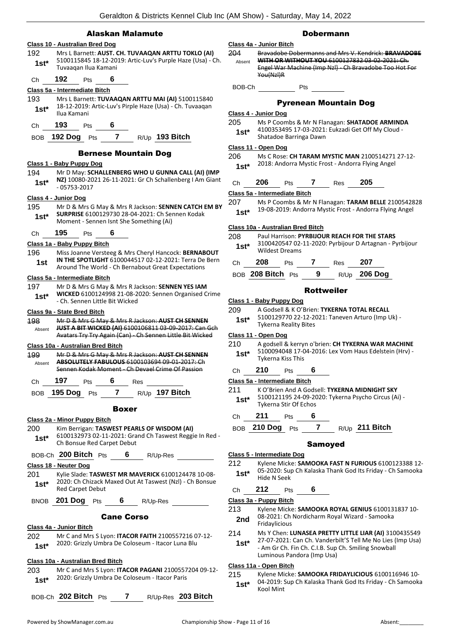### Alaskan Malamute

## **Class 10 - Australian Bred Dog** 192 Mrs L Barnett: **AUST. CH. TUVAAQAN ARTTU TOKLO (AI)** 5100115845 18-12-2019: Artic-Luv's Purple Haze (Usa) - Ch. Tuvaaqan Ilua Kamani **1st\*** Ch **192** Pts **6 Class 5a - Intermediate Bitch** 193 Mrs L Barnett: **TUVAAQAN ARTTU MAI (AI)** 5100115840 18-12-2019: Artic-Luv's Pirple Haze (Usa) - Ch. Tuvaaqan **1st**\* <sup>18-12-2019</sup><br>Ilua Kamani Ch **193** Pts **6** BOB **192 Dog** Pts **7** R/Up **193 Bitch** Bernese Mountain Dog **Class 1 - Baby Puppy Dog** 194 Mr D May: **SCHALLENBERG WHO U GUNNA CALL (AI) (IMP NZ)** 10080-2021 26-11-2021: Gr Ch Schallenberg I Am Giant 1st<sup>\*</sup> **N2J** 10080-20<br>05753-2017 **Class 4 - Junior Dog** 195 Mr D & Mrs G May & Mrs R Jackson: **SENNEN CATCH EM BY SURPRISE** 6100129730 28-04-2021: Ch Sennen Kodak **1st\* SURPRISE** 6100129730 28-04-2021: Ch Server Moment - Sennen Isnt She Something (Ai) Ch **195** Pts **6 Class 1a - Baby Puppy Bitch** 196 Miss Joanne Versteeg & Mrs Cheryl Hancock: **BERNABOUT IN THE SPOTLIGHT** 6100044517 02-12-2021: Terra De Bern **1st IN THE SPOTLIGHT 6100044517 02-12-2021: Terra De**<br>Around The World - Ch Bernabout Great Expectations **Class 5a - Intermediate Bitch** 197 Mr D & Mrs G May & Mrs R Jackson: **SENNEN YES IAM WICKED** 6100124998 21-08-2020: Sennen Organised Crime - Ch. Sennen Little Bit Wicked **1st\* Class 9a - State Bred Bitch** 198 Mr D & Mrs G May & Mrs R Jackson: **AUST CH SENNEN JUST A BIT WICKED (AI)** 6100106811 03-09-2017: Can Gch Avatars Try Try Again (Can) - Ch Sennen Little Bit Wicked Absent **Class 10a - Australian Bred Bitch** 199 Mr D & Mrs G May & Mrs R Jackson: **AUST CH SENNEN ABSOLUTELY FABULOUS** 6100103694 09-01-2017: Ch Sennen Kodak Moment - Ch Devael Crime Of Passion Absent Ch **197** Pts **6** Res BOB **195 Dog** Pts **7** R/Up **197 Bitch** Boxer **Class 2a - Minor Puppy Bitch** 200 Kim Berrigan: **TASWEST PEARLS OF WISDOM (AI)** 6100132973 02-11-2021: Grand Ch Taswest Reggie In Red - 1st<sup>\*</sup> DIUU132973 U2-11-2021: Gra<br>Ch Bonsue Red Carpet Debut BOB-Ch **200 Bitch** Pts **6** R/Up-Res **Class 18 - Neuter Dog** 201 Kylie Slade: **TASWEST MR MAVERICK** 6100124478 10-08- 2020: Ch Chizack Maxed Out At Taswest (Nzl) - Ch Bonsue **1st**\* <sup>2020: Ch Chizack r<br>Red Carpet Debut</sup> BNOB **201 Dog** Pts **6** R/Up-Res Cane Corso **Class 4a - Junior Bitch** 202 Mr C and Mrs S Lyon: **ITACOR FAITH** 2100557216 07-12- 2020: Grizzly Umbra De Coloseum - Itacor Luna Blu **1st\* Class 10a - Australian Bred Bitch** 203 Mr C and Mrs S Lyon: **ITACOR PAGANI** 2100557204 09-12- 2020: Grizzly Umbra De Coloseum - Itacor Paris **1st\*** BOB-Ch **202 Bitch** Pts **7** R/Up-Res **203 Bitch**

#### Dobermann

#### **Class 4a - Junior Bitch** 204 Bravadobe Dobermanns and Mrs V. Kendrick: **BRAVADOBE WITH OR WITHOUT YOU** 6100127832 03-02-2021: Ch. Engel War Machine (Imp Nzl} - Ch Bravadobe Too Hot For You(Nzl)R Absent BOB-Ch Pts

#### Pyrenean Mountain Dog

#### **Class 4 - Junior Dog**

- 205 Ms P Coombs & Mr N Flanagan: **SHATADOE ARMINDA** 4100353495 17-03-2021: Eukzadi Get Off My Cloud -
- Shatadoe Barringa Dawn **1st\***

#### **Class 11 - Open Dog**

<sup>206</sup> Ms C Rose: **CH TARAM MYSTIC MAN** 2100514271 27-12- 2018: Andorra Mystic Frost - Andorra Flying Angel **1st\***

| 205<br>Res |
|------------|
|            |

**Class 5a - Intermediate Bitch**

207 Ms P Coombs & Mr N Flanagan: **TARAM BELLE** 2100542828 19-08-2019: Andorra Mystic Frost - Andorra Flying Angel **1st\***

#### **Class 10a - Australian Bred Bitch**

#### 208 Paul Harrison: **PYRBIJOUR REACH FOR THE STARS**

3100420547 02-11-2020: Pyrbijour D Artagnan - Pyrbijour Wildest Dreams **1st\***

| Ch | 208               | <b>Pts</b> |   | Res | 207            |
|----|-------------------|------------|---|-----|----------------|
|    | BOB 208 Bitch Pts |            | 9 |     | $R/Up$ 206 Dog |

#### Rottweiler

- **Class 1 - Baby Puppy Dog**
- 209 A Godsell & K O'Brien: **TYKERNA TOTAL RECALL**
	- 5100129770 22-12-2021: Taneven Arturo (Imp Uk) Tykerna Reality Bites **1st\***

### **Class 11 - Open Dog**

210 A godsell & kerryn o'brien: **CH TYKERNA WAR MACHINE** 5100094048 17-04-2016: Lex Vom Haus Edelstein (Hrv) - Tykerna Kiss This **1st\***

### Ch **210** Pts **6**

## **Class 5a - Intermediate Bitch**

- 211 K O'Brien And A Godsell: **TYKERNA MIDNIGHT SKY**
- 5100121195 24-09-2020: Tykerna Psycho Circus (Ai) Tykerna Stir Of Echos **1st\***
- Ch **211** Pts **6**
- BOB **210 Dog** Pts **7** R/Up **211 Bitch**

#### Samoyed

#### **Class 5 - Intermediate Dog**

- 212 Kylene Micke: **SAMOOKA FAST N FURIOUS** 6100123388 12- 05-2020: Sup Ch Kalaska Thank God Its Friday - Ch Samooka 1st<sup>\*</sup> U<sub>D</sub>-2020: Sup
- Ch **212** Pts **6**

**Class 3a - Puppy Bitch**

- 213 Kylene Micke: **SAMOOKA ROYAL GENIUS** 6100131837 10- 08-2021: Ch Nordicharm Royal Wizard - Samooka
- 2nd U<sub>8</sub>-2021: Cn
- 214 Ms Y Chen: **LUNASEA PRETTY LITTLE LIAR (AI)** 3100435549
- 27-07-2021: Can Ch. Vanderbilt'S Tell Me No Lies (Imp Usa) - Am Gr Ch. Fin Ch. C.I.B. Sup Ch. Smiling Snowball Luminous Pandora (Imp Usa) **1st\***

#### **Class 11a - Open Bitch**

215 Kylene Micke: **SAMOOKA FRIDAYLICIOUS** 6100116946 10- 04-2019: Sup Ch Kalaska Thank God Its Friday - Ch Samooka **1st**\*  $\frac{04-2019}{15}$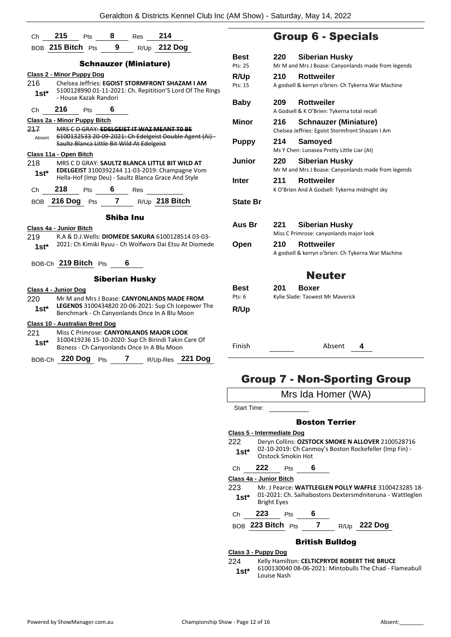|                                       |                                                                                                                                       |                        |           | Ch 215 Pts 8 Res 214                       |                                                                                                             |  |  |
|---------------------------------------|---------------------------------------------------------------------------------------------------------------------------------------|------------------------|-----------|--------------------------------------------|-------------------------------------------------------------------------------------------------------------|--|--|
|                                       |                                                                                                                                       |                        |           |                                            | BOB 215 Bitch Pts 9 R/Up 212 Dog                                                                            |  |  |
|                                       |                                                                                                                                       |                        |           | <b>Schnauzer (Miniature)</b>               |                                                                                                             |  |  |
| <b>Class 2 - Minor Puppy Dog</b>      |                                                                                                                                       |                        |           |                                            |                                                                                                             |  |  |
| 216.<br>$1st^*$                       | Chelsea Jeffries: EGOIST STORMFRONT SHAZAM I AM<br>5100128990 01-11-2021: Ch. Repitition'S Lord Of The Rings<br>- House Kazak Randori |                        |           |                                            |                                                                                                             |  |  |
| Ch                                    | 216                                                                                                                                   |                        | Pts $6$   |                                            |                                                                                                             |  |  |
| Class 2a - Minor Puppy Bitch          |                                                                                                                                       |                        |           |                                            |                                                                                                             |  |  |
| 217                                   |                                                                                                                                       |                        |           | Saultz Blanca Little Bit Wild At Edelgeist | MRS C D GRAY: EDELGEIST IT WAZ MEANT TO BE<br>Absent 6100132533 20 09 2021: Ch Edelgeist Double Agent (Ai)- |  |  |
| Class 11a - Open Bitch                |                                                                                                                                       |                        |           |                                            |                                                                                                             |  |  |
| 218                                   |                                                                                                                                       |                        |           |                                            | MRS C D GRAY: SAULTZ BLANCA LITTLE BIT WILD AT                                                              |  |  |
|                                       |                                                                                                                                       |                        |           |                                            | 1st* EDELGEIST 3100392244 11-03-2019: Champagne Vom<br>Hella-Hof (Imp Deu) - Saultz Blanca Grace And Style  |  |  |
|                                       |                                                                                                                                       |                        |           | Ch 218 Pts 6 Res                           |                                                                                                             |  |  |
|                                       |                                                                                                                                       |                        |           |                                            | BOB 216 Dog Pts 7 R/Up 218 Bitch                                                                            |  |  |
|                                       |                                                                                                                                       |                        | Shiba Inu |                                            |                                                                                                             |  |  |
| Class 4a - Junior Bitch               |                                                                                                                                       |                        |           |                                            |                                                                                                             |  |  |
| 219                                   |                                                                                                                                       |                        |           |                                            | R.A & D.J.Wells: DIOMEDE SAKURA 6100128514 03-03-                                                           |  |  |
|                                       |                                                                                                                                       |                        |           |                                            | 1st* 2021: Ch Kimiki Ryuu - Ch Wolfworx Dai Etsu At Diomede                                                 |  |  |
|                                       |                                                                                                                                       | BOB-Ch 219 Bitch Pts 6 |           |                                            |                                                                                                             |  |  |
|                                       |                                                                                                                                       |                        |           | <b>Siberian Husky</b>                      |                                                                                                             |  |  |
| <u> Class 4 - Junior Dog</u>          |                                                                                                                                       |                        |           |                                            |                                                                                                             |  |  |
| 220                                   |                                                                                                                                       |                        |           |                                            | Mr M and Mrs J Boase: CANYONLANDS MADE FROM                                                                 |  |  |
| 1st*                                  |                                                                                                                                       |                        |           |                                            | LEGENDS 3100434820 20-06-2021: Sup Ch Icepower The<br>Benchmark - Ch Canyonlands Once In A Blu Moon         |  |  |
| Class 10 - Australian Bred Dog        |                                                                                                                                       |                        |           |                                            |                                                                                                             |  |  |
| 221.                                  |                                                                                                                                       |                        |           |                                            | Miss C Primrose: CANYONLANDS MAJOR LOOK<br>3100419236 15-10-2020: Sup Ch Birindi Takin Care Of              |  |  |
| $1$ st $^*$                           |                                                                                                                                       |                        |           |                                            | Bizness - Ch Canyonlands Once In A Blu Moon                                                                 |  |  |
| BOB-Ch 220 Dog Pts 7 R/Up-Res 221 Dog |                                                                                                                                       |                        |           |                                            |                                                                                                             |  |  |
|                                       |                                                                                                                                       |                        |           |                                            |                                                                                                             |  |  |

## Group 6 - Specials

| <b>Best</b>     | 220 | Siberian Husky                                                   |
|-----------------|-----|------------------------------------------------------------------|
| Pts: 25         |     | Mr M and Mrs J Boase: Canyonlands made from legends              |
| R/Up            | 210 | <b>Rottweiler</b>                                                |
| Pts: 15         |     | A godsell & kerryn o'brien: Ch Tykerna War Machine               |
| <b>Baby</b>     | 209 | <b>Rottweiler</b><br>A Godsell & K O'Brien: Tykerna total recall |
| Minor           | 216 | <b>Schnauzer (Miniature)</b>                                     |
|                 |     | Chelsea Jeffries: Egoist Stormfront Shazam I Am                  |
| <b>Puppy</b>    | 214 | Samoyed                                                          |
|                 |     | Ms Y Chen: Lunasea Pretty Little Liar (AI)                       |
| Junior          | 220 | Siberian Husky                                                   |
|                 |     | Mr M and Mrs J Boase: Canyonlands made from legends              |
| Inter           | 211 | <b>Rottweiler</b>                                                |
|                 |     | K O'Brien And A Godsell: Tykerna midnight sky                    |
| <b>State Br</b> |     |                                                                  |
| Aus Br          | 221 | Siberian Husky                                                   |
|                 |     | Miss C Primrose: canyonlands major look                          |
| Open            | 210 | <b>Rottweiler</b>                                                |
|                 |     | A godsell & kerryn o'brien: Ch Tykerna War Machine               |
|                 |     | <b>Neuter</b>                                                    |
| <b>Best</b>     | 201 | Boxer                                                            |
| Pts: 6          |     | Kylie Slade: Taswest Mr Maverick                                 |
| R/Up            |     |                                                                  |
|                 |     |                                                                  |

Finish Absent **4**

## Group 7 - Non-Sporting Group

|                         |                    |                            |   | Mrs Ida Homer (WA)    |                                                                                                             |  |
|-------------------------|--------------------|----------------------------|---|-----------------------|-------------------------------------------------------------------------------------------------------------|--|
| Start Time:             |                    |                            |   |                       |                                                                                                             |  |
|                         |                    |                            |   | <b>Boston Terrier</b> |                                                                                                             |  |
|                         |                    | Class 5 - Intermediate Dog |   |                       |                                                                                                             |  |
| 222.<br>$1st^*$         |                    | Ozstock Smokin Hot         |   |                       | Deryn Collins: OZSTOCK SMOKE N ALLOVER 2100528716<br>02-10-2019: Ch Canmoy's Boston Rockefeller (Imp Fin) - |  |
| Сh                      | 222                | Pts                        | 6 |                       |                                                                                                             |  |
| Class 4a - Junior Bitch |                    |                            |   |                       |                                                                                                             |  |
| 223                     |                    |                            |   |                       | Mr. J Pearce: WATTLEGLEN POLLY WAFFLE 3100423285 18-                                                        |  |
| $1st^*$                 | <b>Bright Eyes</b> |                            |   |                       | 01-2021: Ch. Saihabostons Dextersmdniteruna - Wattleglen                                                    |  |
| Сh                      | 223                | Pts                        | 6 |                       |                                                                                                             |  |
|                         | BOB 223 Bitch Pts  |                            | 7 |                       | R/Up 222 Dog                                                                                                |  |
|                         |                    |                            |   | British Bulldog       |                                                                                                             |  |

#### **Class 3 - Puppy Dog**

224 Kelly Hamilton: **CELTICPRYDE ROBERT THE BRUCE**

6100130040 08-06-2021: Mintobulls The Chad - Flameabull **1st**\* **100130040**<br>Louise Nash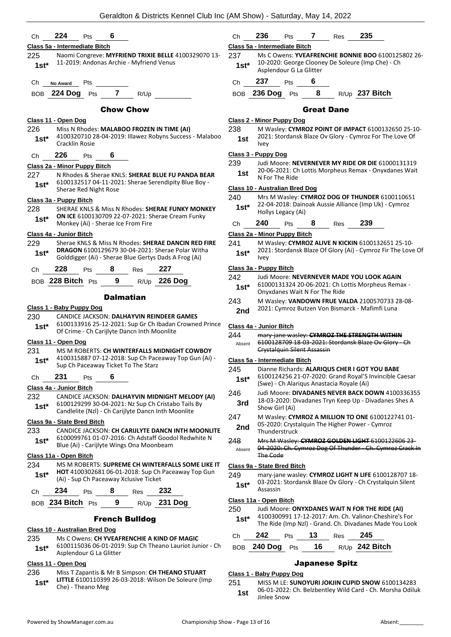| Ch             | 224<br>6<br>Pts                                                                                                                                                  | Ch               | 236<br>235<br>Pts<br>7<br>Res                                                                                                                    |
|----------------|------------------------------------------------------------------------------------------------------------------------------------------------------------------|------------------|--------------------------------------------------------------------------------------------------------------------------------------------------|
|                | Class 5a - Intermediate Bitch                                                                                                                                    |                  | Class 5a - Intermediate Bitch                                                                                                                    |
| 225<br>$1st*$  | Naomi Congreve: MYFRIEND TRIXIE BELLE 4100329070 13-<br>11-2019: Andonas Archie - Myfriend Venus                                                                 | 237<br>$1st*$    | Ms C Owens: YVEAFRENCHIE BONNIE BOO 6100125802 26-<br>10-2020: George Clooney De Soleure (Imp Che) - Ch                                          |
|                |                                                                                                                                                                  | Ch               | Asplendour G La Glitter<br>237<br>6<br>Pts                                                                                                       |
| Ch             | Pts<br>No Award                                                                                                                                                  |                  |                                                                                                                                                  |
| <b>BOB</b>     | <b>224 Dog</b> Pts<br>$\overline{7}$<br>R/Up                                                                                                                     |                  | 8<br>BOB 236 Dog Pts<br>R/Up 237 Bitch                                                                                                           |
|                | <b>Chow Chow</b>                                                                                                                                                 |                  | <b>Great Dane</b>                                                                                                                                |
| 226<br>$1st^*$ | Class 11 - Open Dog<br>Miss N Rhodes: MALABOO FROZEN IN TIME (AI)<br>4100320710 28-04-2019: Illawez Robyns Success - Malaboo                                     | 238<br>1st       | Class 2 - Minor Puppy Dog<br>M Wasley: CYMROZ POINT OF IMPACT 6100132650 25-10-<br>2021: Stordansk Blaze Ov Glory - Cymroz For The Love Of       |
|                | <b>Cracklin Rosie</b>                                                                                                                                            |                  | <b>Ivey</b><br>Class 3 - Puppy Dog                                                                                                               |
| Ch             | 226<br>6<br>Pts                                                                                                                                                  | 239              | Judi Moore: NEVERNEVER MY RIDE OR DIE 61000131319                                                                                                |
| 227            | Class 2a - Minor Puppy Bitch<br>N Rhodes & Sherae KNLS: SHERAE BLUE FU PANDA BEAR                                                                                | 1st              | 20-06-2021: Ch Lottis Morpheus Remax - Onyxdanes Wait<br>N For The Ride                                                                          |
| $1st^*$        | 6100132517 04-11-2021: Sherae Serendipity Blue Boy -<br>Sherae Red Night Rose                                                                                    |                  | <b>Class 10 - Australian Bred Dog</b>                                                                                                            |
|                | Class 3a - Puppy Bitch                                                                                                                                           | 240              | Mrs M Wasley: CYMROZ DOG OF THUNDER 6100110651                                                                                                   |
| 228            | SHERAE KNLS & Miss N Rhodes: SHERAE FUNKY MONKEY<br><b>ON ICE 6100130709 22-07-2021: Sherae Cream Funky</b>                                                      | $1st*$           | 22-04-2018: Dainoak Aussie Alliance (Imp Uk) - Cymroz<br>Hollys Legacy (Ai)                                                                      |
| $1st^*$        | Monkey (Ai) - Sherae Ice From Fire                                                                                                                               | Ch               | 240<br>239<br>8<br>Pts<br>Res                                                                                                                    |
|                | Class 4a - Junior Bitch                                                                                                                                          |                  | Class 2a - Minor Puppy Bitch                                                                                                                     |
| 229<br>$1st^*$ | Sherae KNLS & Miss N Rhodes: SHERAE DANCIN RED FIRE<br>DRAGON 6100129679 30-04-2021: Sherae Polar Witha<br>Golddigger (Ai) - Sherae Blue Gertys Dads A Frog (Ai) | 241<br>$1st*$    | M Wasley: CYMROZ ALIVE N KICKIN 6100132651 25-10-<br>2021: Stordansk Blaze Of Glory (Ai) - Cymroz Fir The Love Of<br>Ivey                        |
| Ch             | 228<br>227<br>8<br>Pts<br>Res                                                                                                                                    |                  | Class 3a - Puppy Bitch                                                                                                                           |
|                | BOB 228 Bitch Pts<br>9<br>R/Up 226 Dog                                                                                                                           | 242<br>$1st*$    | Judi Moore: NEVERNEVER MADE YOU LOOK AGAIN<br>61000131324 20-06-2021: Ch Lottis Morpheus Remax -                                                 |
|                | <b>Dalmatian</b>                                                                                                                                                 |                  | Onyxdanes Wait N For The Ride                                                                                                                    |
|                | Class 1 - Baby Puppy Dog                                                                                                                                         | 243              | M Wasley: VANDOWN FRUE VALDA 2100570733 28-08-<br>2021: Cymroz Butzen Von Bismarck - Mafimfi Luna                                                |
| 230            | CANDICE JACKSON: DALHAYVIN REINDEER GAMES<br>6100133916 25-12-2021: Sup Gr Ch Ibadan Crowned Prince                                                              | 2nd              |                                                                                                                                                  |
| $1st^*$        | Of Crime - Ch Carijlyte Dancn Inth Moonlite                                                                                                                      | 244              | Class 4a - Junior Bitch<br>mary-jane wasley: CYMROZ THE STRENGTH WITHIN                                                                          |
|                | Class 11 - Open Dog                                                                                                                                              | Absent           | 6100128709 18-03-2021: Stordansk Blaze Ov Glory - Ch                                                                                             |
| 231            | MS M ROBERTS: CH WINTERFALLS MIDNIGHT COWBOY                                                                                                                     |                  | <b>Crystalquin Silent Assassin</b>                                                                                                               |
| $1st*$         | 4100315887 07-12-2018: Sup Ch Paceaway Top Gun (Ai) -<br>Sup Ch Paceaway Ticket To The Starz                                                                     | 245              | Class 5a - Intermediate Bitch<br>Dianne Richards: ALARIQUS CHER I GOT YOU BABE                                                                   |
| Ch             | 231<br>6<br>Pts                                                                                                                                                  | $1st*$           | 6100124256 21-07-2020: Grand Royal'S Invincible Caesar<br>(Swe) - Ch Alariqus Anastacia Royale (Ai)                                              |
| 232            | Class 4a - Junior Bitch<br>CANDICE JACKSON: DALHAYVIN MIDNIGHT MELODY (AI)                                                                                       | 246              | Judi Moore: DIVADANES NEVER BACK DOWN 4100336355                                                                                                 |
| $1st^*$        | 6100129299 30-04-2021: Nz Sup Ch Cristabo Tails By<br>Candlelite (Nzl) - Ch Carijlyte Dancn Inth Moonlite                                                        | 3rd              | 18-03-2020: Divadanes Tryn Keep Up - Divadanes Shes A<br>Show Girl (Ai)                                                                          |
|                | Class 9a - State Bred Bitch                                                                                                                                      | 247              | M Wasley: CYMROZ A MILLION TO ONE 6100122741 01-                                                                                                 |
| 233            | CANDICE JACKSON: CH CARIJLYTE DANCN INTH MOONLITE                                                                                                                | 2nd              | 05-2020: Crystalquin The Higher Power - Cymroz<br>Thunderstruck                                                                                  |
| $1st^*$        | 6100099761 01-07-2016: Ch Adstaff Goodol Redwhite N<br>Blue (Ai) - Carijlyte Wings Ona Moonbeam                                                                  | 248<br>Absent    | Mrs M Wasley: CYMROZ GOLDEN LIGHT 6100122606 23-<br>04-2020: Ch. Cymroz Dog Of Thunder - Ch. Cymroz Crack In                                     |
|                | Class 11a - Open Bitch                                                                                                                                           |                  | The Code                                                                                                                                         |
| 234<br>$1st^*$ | MS M ROBERTS: SUPREME CH WINTERFALLS SOME LIKE IT<br>HOT 4100302681 06-01-2018: Sup Ch Paceaway Top Gun<br>(Ai) - Sup Ch Paceaway Xclusive Ticket                | 249<br>$1st^*$   | Class 9a - State Bred Bitch<br>mary-jane wasley: CYMROZ LIGHT N LIFE 6100128707 18-<br>03-2021: Stordansk Blaze Ov Glory - Ch Crystalquin Silent |
| Ch             | 234<br>8<br>232<br>Pts<br>Res                                                                                                                                    |                  | Assassin                                                                                                                                         |
|                | BOB 234 Bitch Pts<br>9<br>R/Up 231 Dog                                                                                                                           | 250              | Class 11a - Open Bitch<br>Judi Moore: ONYXDANES WAIT N FOR THE RIDE (AI)                                                                         |
|                |                                                                                                                                                                  | $1st^*$          | 4100300991 17-12-2017: Am. Ch. Valinor-Cheshire's For                                                                                            |
|                | <b>French Bulldog</b>                                                                                                                                            |                  |                                                                                                                                                  |
|                | Class 10 - Australian Bred Dog                                                                                                                                   |                  | The Ride (Imp NzI) - Grand. Ch. Divadanes Made You Look                                                                                          |
| 235<br>$1st^*$ | Ms C Owens: CH YVEAFRENCHIE A KIND OF MAGIC<br>6100115036 06-01-2019: Sup Ch Theano Lauriot Junior - Ch                                                          | Ch<br><b>BOB</b> | 242<br>13<br>245<br>Pts<br>Res<br>R/Up 242 Bitch<br>240 Dog Pts<br>16                                                                            |

#### Japanese Spitz

#### **Class 1 - Baby Puppy Dog**

251 MISS M LE: **SUNOYURI JOKJIN CUPID SNOW** 6100134283 06-01-2022: Ch. Belzbentley Wild Card - Ch. Morsha Odiluk **1st** <sup>06-01-2022</sup><br>Jinlee Snow

**1st\*** LITTLE 6100110399<br>Che) - Theano Meg

236 Miss T Zapantis & Mr B Simpson: **CH THEANO STUART** 

**LITTLE** 6100110399 26-03-2018: Wilson De Soleure (Imp

**Class 11 - Open Dog**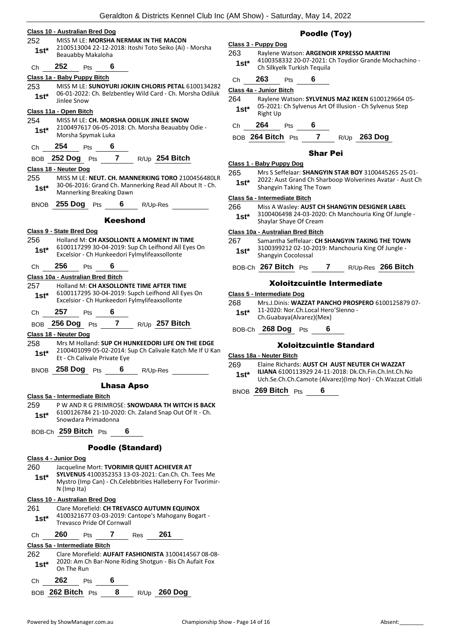|         | Geraldton & Districts Kennel Club Ind                                                               |
|---------|-----------------------------------------------------------------------------------------------------|
|         | Class 10 - Australian Bred Dog                                                                      |
| 252     | MISS M LE: MORSHA NERMAK IN THE MACON<br>2100513004 22-12-2018: Itoshi Toto Seiko (Ai) - Morsha     |
| $1st^*$ | Beauabby Makaloha                                                                                   |
| Сh      | 252<br>6<br><b>Pts</b>                                                                              |
|         | Class 1a - Baby Puppy Bitch                                                                         |
| 253     | MISS M LE: SUNOYURI JOKJIN CHLORIS PETAL 6100134282                                                 |
| 1st*    | 06-01-2022: Ch. Belzbentley Wild Card - Ch. Morsha Odiluk<br>Jinlee Snow                            |
|         | Class 11a - Open Bitch                                                                              |
| 254     | MISS M LE: CH. MORSHA ODILUK JINLEE SNOW                                                            |
| $1st*$  | 2100497617 06-05-2018: Ch. Morsha Beauabby Odie -                                                   |
|         | Morsha Spymak Luka                                                                                  |
| Сh      | 254<br><b>Pts</b>                                                                                   |
|         | BOB 252 Dog Pts 7 R/Up 254 Bitch                                                                    |
|         | Class 18 - Neuter Dog                                                                               |
| 255     | MISS M LE: NEUT. CH. MANNERKING TORO 2100456480LR                                                   |
| $1st^*$ | 30-06-2016: Grand Ch. Mannerking Read All About It - Ch.<br>Mannerking Breaking Dawn                |
|         | BNOB 255 Dog Pts<br>6 $R/Up-Res$                                                                    |
|         | Keeshond                                                                                            |
|         | Class 9 - State Bred Dog                                                                            |
| 256     | Holland M: CH AXSOLLONTE A MOMENT IN TIME                                                           |
| 1st*    | 6100117299 30-04-2019: Sup Ch Leifhond All Eyes On<br>Excelsior - Ch Hunkeedori Fylmylifeaxsollonte |
| Ch 256  | 6<br><b>Pts</b>                                                                                     |
|         | Class 10a - Australian Bred Bitch                                                                   |
| 257     | Holland M: CH AXSOLLONTE TIME AFTER TIME                                                            |
| $1st^*$ | 6100117295 30-04-2019: Supch Leifhond All Eyes On                                                   |
|         | Excelsior - Ch Hunkeedori Fylmylifeaxsollonte                                                       |
| Ch      | $257$ Pts<br>6                                                                                      |
|         | BOB 256 Dog Pts 7 R/Up 257 Bitch                                                                    |
|         | Class 18 - Neuter Dog                                                                               |
| 258     | Mrs M Holland: SUP CH HUNKEEDORI LIFE ON THE EDGE                                                   |
|         | 2100401099 05-02-2014: Sup Ch Calivale Katch Me If U Kan<br>Et - Ch Calivale Private Eye            |
| $1st^*$ |                                                                                                     |

259 P W AND R G PRIMROSE: **SNOWDARA TH WITCH IS BACK** 6100126784 21-10-2020: Ch. Zaland Snap Out Of It - Ch. Snowdara Primadonna **1st\***

BOB-Ch **259 Bitch** Pts **6**

#### Poodle (Standard)

#### **Class 4 - Junior Dog**

260 Jacqueline Mort: **TVORIMIR QUIET ACHIEVER AT SYLVENUS** 4100352353 13-03-2021: Can.Ch. Ch. Tees Me Mystro (Imp Can) - Ch.Celebbrities Halleberry For Tvorimir-N (Imp Ita) **1st\***

#### **Class 10 - Australian Bred Dog**

- 261 Clare Morefield: **CH TREVASCO AUTUMN EQUINOX** 4100321677 03-03-2019: Cantope's Mahogany Bogart - **1st\*** 4100321677 03-03-2019: C<br>Trevasco Pride Of Cornwall Ch **260** Pts **7** Res **261 Class 5a - Intermediate Bitch** 262 Clare Morefield: **AUFAIT FASHIONISTA** 3100414567 08-08- 2020: Am Ch Bar-None Riding Shotgun - Bis Ch Aufait Fox **1st**\* <sup>2020</sup> 1st<sup>\*</sup> On The Run Ch **262** Pts **6**
- BOB **262 Bitch** Pts **8** R/Up **260 Dog**

### Poodle (Toy)

## **Class 3 - Puppy Dog** 263 Raylene Watson: **ARGENOIR XPRESSO MARTINI**

- 4100358332 20-07-2021: Ch Toydior Grande Mochachino 1st<sup>\*</sup> 4100358332 20-07-2021: Ch Silkyelk Turkish Tequila
- Ch **263** Pts **6**

#### **Class 4a - Junior Bitch**

Ch **264** Pts **6**

#### BOB **264 Bitch** Pts **7** R/Up **263 Dog**

#### Shar Pei

#### **Class 1 - Baby Puppy Dog**

265 Mrs S Seffelaar: **SHANGYIN STAR BOY** 3100445265 25-01- 2022: Aust Grand Ch Sharboop Wolverines Avatar - Aust Ch **1st**\* <sup>2022:</sup> Aust Grand Ch Sharp<br>Shangyin Taking The Town

#### **Class 5a - Intermediate Bitch**

- 266 Miss A Wasley: **AUST CH SHANGYIN DESIGNER LABEL**
	- 3100406498 24-03-2020: Ch Manchouria King Of Jungle Shaylar Shaye Of Cream **1st\***

#### **Class 10a - Australian Bred Bitch**

- 267 Samantha Seffelaar: **CH SHANGYIN TAKING THE TOWN**
- 3100399212 02-10-2019: Manchouria King Of Jungle Shangyin Cocolossal **1st\***
- BOB-Ch **267 Bitch** Pts **7** R/Up-Res **266 Bitch**

#### Xoloitzcuintle Intermediate

#### **Class 5 - Intermediate Dog**

- 268 Mrs.J.Dinis: **WAZZAT PANCHO PROSPERO** 6100125879 07-
- 11-2020: Nor.Ch.Local Hero'Slenno Ch.Guabaya(Alvarez)(Mex) **1st\***
- 

BOB-Ch **268 Dog** Pts **6**

#### Xoloitzcuintle Standard

**Class 18a - Neuter Bitch**

269 Elaine Richards: **AUST CH AUST NEUTER CH WAZZAT ILIANA** 6100113929 24-11-2018: Dk.Ch.Fin.Ch.Int.Ch.No Uch.Se.Ch.Ch.Camote (Alvarez)(Imp Nor) - Ch.Wazzat Citlali **1st\***

BNOB **269 Bitch** Pts **6**

<sup>264</sup> Raylene Watson: **SYLVENUS MAZ IKEEN** 6100129664 05- 05-2021: Ch Sylvenus Art Of Illusion - Ch Sylvenus Step **1st**\* U<sub>p</sub>-2021<br>Right Up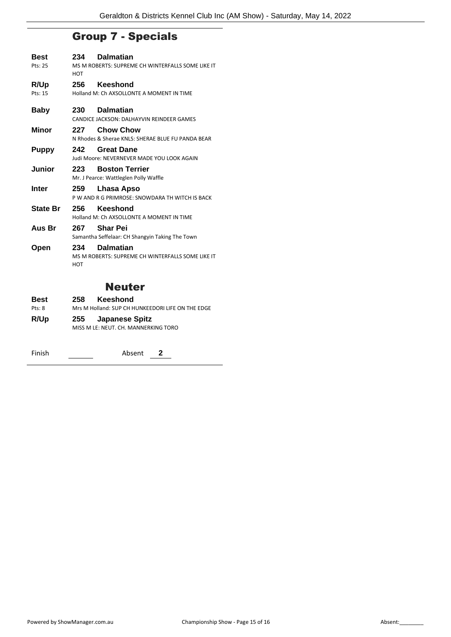## Group 7 - Specials

| Best<br>Pts: 25 | 234<br>HOT | <b>Dalmatian</b><br>MS M ROBERTS: SUPREME CH WINTERFALLS SOME LIKE IT |
|-----------------|------------|-----------------------------------------------------------------------|
| R/Up            | 256        | Keeshond                                                              |
| Pts: 15         |            | Holland M: Ch AXSOLLONTE A MOMENT IN TIME                             |
| <b>Baby</b>     | 230        | <b>Dalmatian</b><br>CANDICE JACKSON: DALHAYVIN REINDEER GAMES         |
| Minor           | 227        | <b>Chow Chow</b>                                                      |
|                 |            | N Rhodes & Sherae KNLS: SHERAE BLUE FU PANDA BEAR                     |
| <b>Puppy</b>    | 242        | <b>Great Dane</b><br>Judi Moore: NEVERNEVER MADE YOU LOOK AGAIN       |
| Junior          | 223        | <b>Boston Terrier</b>                                                 |
|                 |            | Mr. J Pearce: Wattleglen Polly Waffle                                 |
| Inter           | 259        | Lhasa Apso<br>P W AND R G PRIMROSE: SNOWDARA TH WITCH IS BACK         |
| <b>State Br</b> | 256        | Keeshond<br>Holland M: Ch AXSOLLONTE A MOMENT IN TIME                 |
| Aus Br          | 267        | <b>Shar Pei</b><br>Samantha Seffelaar: CH Shangyin Taking The Town    |
| Open            | 234<br>HOT | <b>Dalmatian</b><br>MS M ROBERTS: SUPREME CH WINTERFALLS SOME LIKE IT |
|                 |            | Neuter                                                                |

## Neuter

| <b>Best</b> | Keeshond<br>258                                   |
|-------------|---------------------------------------------------|
| Pts: 8      | Mrs M Holland: SUP CH HUNKEEDORI LIFE ON THE EDGE |
| R/Up        | 255 Japanese Spitz                                |
|             | MISS M LE: NEUT. CH. MANNERKING TORO              |
|             |                                                   |

Finish <u>Conservation and Absent 2</u>